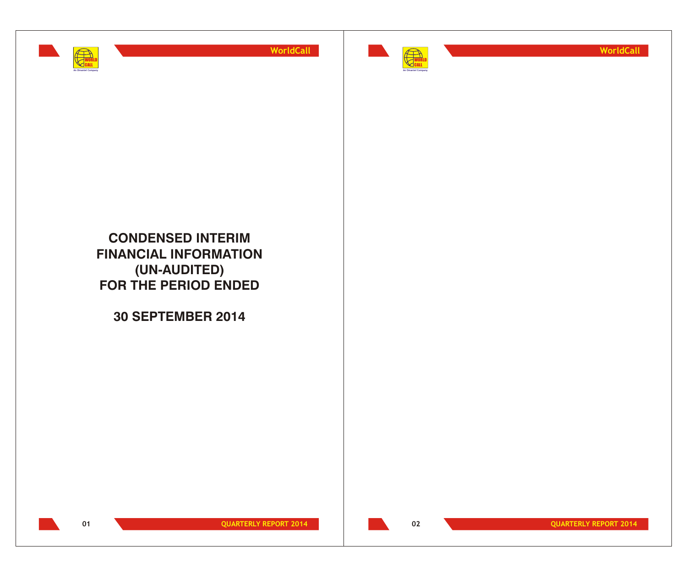



**WorldCall**

**CONDENSED INTERIM FINANCIAL INFORMATION (UN-AUDITED) FOR THE PERIOD ENDED**

**30 SEPTEMBER 2014**



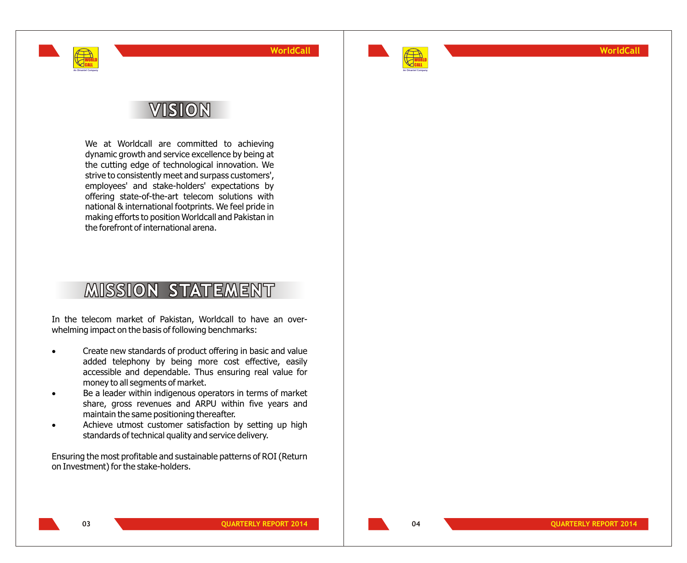

**WorldCall**

# **VISION**

WORLD CALL **An Omantel Company**

> We at Worldcall are committed to achieving dynamic growth and service excellence by being at the cutting edge of technological innovation. We strive to consistently meet and surpass customers', employees' and stake-holders' expectations by offering state-of-the-art telecom solutions with national & international footprints. We feel pride in making efforts to position Worldcall and Pakistan in the forefront of international arena.

# **MISSION STATEMENT**

In the telecom market of Pakistan, Worldcall to have an overwhelming impact on the basis of following benchmarks:

- Create new standards of product offering in basic and value added telephony by being more cost effective, easily accessible and dependable. Thus ensuring real value for money to all segments of market.
- Be a leader within indigenous operators in terms of market share, gross revenues and ARPU within five years and maintain the same positioning thereafter.
- Achieve utmost customer satisfaction by setting up high standards of technical quality and service delivery.
- Ensuring the most profitable and sustainable patterns of ROI (Return on Investment) for the stake-holders.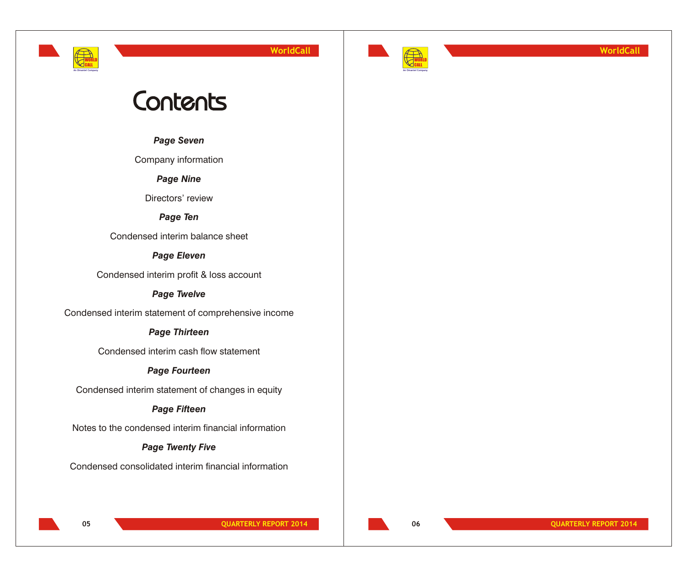# **An Omantel Company**

WORLD CALL

**WorldCall**



**WorldCall**

# Contents

*Page Seven*

Company information

*Page Nine*

Directors' review

*Page Ten*

Condensed interim balance sheet

*Page Eleven*

Condensed interim profit & loss account

*Page Twelve*

Condensed interim statement of comprehensive income

# *Page Thirteen*

Condensed interim cash flow statement

# *Page Fourteen*

Condensed interim statement of changes in equity

# *Page Fifteen*

Notes to the condensed interim financial information

# *Page Twenty Five*

Condensed consolidated interim financial information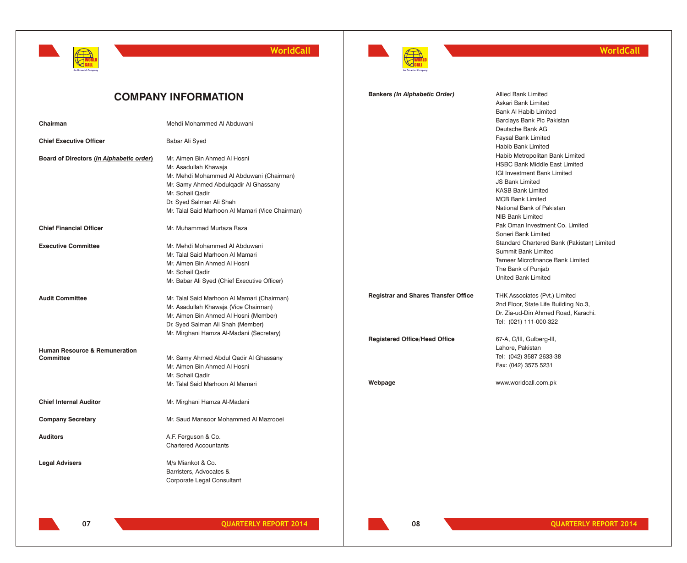



## **WorldCall**

|                                                       | <b>COMPANY INFORMATION</b>                                                                                                                                                                                                                      | <b>Bankers (In Alphabetic Order)</b>                                                | <b>Allied Bank Limited</b><br>Askari Bank Limited<br><b>Bank Al Habib Limited</b>                                                                                                                                                        |
|-------------------------------------------------------|-------------------------------------------------------------------------------------------------------------------------------------------------------------------------------------------------------------------------------------------------|-------------------------------------------------------------------------------------|------------------------------------------------------------------------------------------------------------------------------------------------------------------------------------------------------------------------------------------|
| Chairman                                              | Mehdi Mohammed Al Abduwani                                                                                                                                                                                                                      |                                                                                     | Barclays Bank Plc Pakistan<br>Deutsche Bank AG                                                                                                                                                                                           |
| <b>Chief Executive Officer</b>                        | Babar Ali Syed                                                                                                                                                                                                                                  |                                                                                     | Faysal Bank Limited<br>Habib Bank Limited                                                                                                                                                                                                |
| Board of Directors (In Alphabetic order)              | Mr. Aimen Bin Ahmed Al Hosni<br>Mr. Asadullah Khawaja<br>Mr. Mehdi Mohammed Al Abduwani (Chairman)<br>Mr. Samy Ahmed Abdulgadir Al Ghassany<br>Mr. Sohail Qadir<br>Dr. Syed Salman Ali Shah<br>Mr. Talal Said Marhoon Al Mamari (Vice Chairman) |                                                                                     | Habib Metropolitan Bank Limited<br><b>HSBC Bank Middle East Limited</b><br>IGI Investment Bank Limited<br><b>JS Bank Limited</b><br><b>KASB Bank Limited</b><br><b>MCB Bank Limited</b><br>National Bank of Pakistan<br>NIB Bank Limited |
| <b>Chief Financial Officer</b>                        | Mr. Muhammad Murtaza Raza                                                                                                                                                                                                                       |                                                                                     | Pak Oman Investment Co. Limited<br>Soneri Bank Limited                                                                                                                                                                                   |
| <b>Executive Committee</b>                            | Mr. Mehdi Mohammed Al Abduwani<br>Mr. Talal Said Marhoon Al Mamari<br>Mr. Aimen Bin Ahmed Al Hosni<br>Mr. Sohail Qadir<br>Mr. Babar Ali Syed (Chief Executive Officer)                                                                          |                                                                                     | Standard Chartered Bank (Pakistan) Limited<br><b>Summit Bank Limited</b><br>Tameer Microfinance Bank Limited<br>The Bank of Punjab<br><b>United Bank Limited</b>                                                                         |
| <b>Audit Committee</b>                                | Mr. Talal Said Marhoon Al Mamari (Chairman)<br>Mr. Asadullah Khawaja (Vice Chairman)<br>Mr. Aimen Bin Ahmed Al Hosni (Member)<br>Dr. Syed Salman Ali Shah (Member)<br>Mr. Mirghani Hamza Al-Madani (Secretary)                                  | <b>Registrar and Shares Transfer Office</b><br><b>Registered Office/Head Office</b> | THK Associates (Pvt.) Limited<br>2nd Floor, State Life Building No.3,<br>Dr. Zia-ud-Din Ahmed Road, Karachi.<br>Tel: (021) 111-000-322<br>67-A, C/III, Gulberg-III,                                                                      |
| <b>Human Resource &amp; Remuneration</b><br>Committee | Mr. Samy Ahmed Abdul Qadir Al Ghassany<br>Mr. Aimen Bin Ahmed Al Hosni<br>Mr. Sohail Qadir<br>Mr. Talal Said Marhoon Al Mamari                                                                                                                  | Webpage                                                                             | Lahore, Pakistan<br>Tel: (042) 3587 2633-38<br>Fax: (042) 3575 5231<br>www.worldcall.com.pk                                                                                                                                              |
| <b>Chief Internal Auditor</b>                         | Mr. Mirghani Hamza Al-Madani                                                                                                                                                                                                                    |                                                                                     |                                                                                                                                                                                                                                          |
| <b>Company Secretary</b>                              | Mr. Saud Mansoor Mohammed Al Mazrooei                                                                                                                                                                                                           |                                                                                     |                                                                                                                                                                                                                                          |
| <b>Auditors</b>                                       | A.F. Ferguson & Co.<br><b>Chartered Accountants</b>                                                                                                                                                                                             |                                                                                     |                                                                                                                                                                                                                                          |
| <b>Legal Advisers</b>                                 | M/s Miankot & Co.<br>Barristers, Advocates &<br>Corporate Legal Consultant                                                                                                                                                                      |                                                                                     |                                                                                                                                                                                                                                          |

**08**

**07 QUARTERLY REPORT 2014 QUARTERLY REPORT 2014 QUARTERLY REPORT 2014**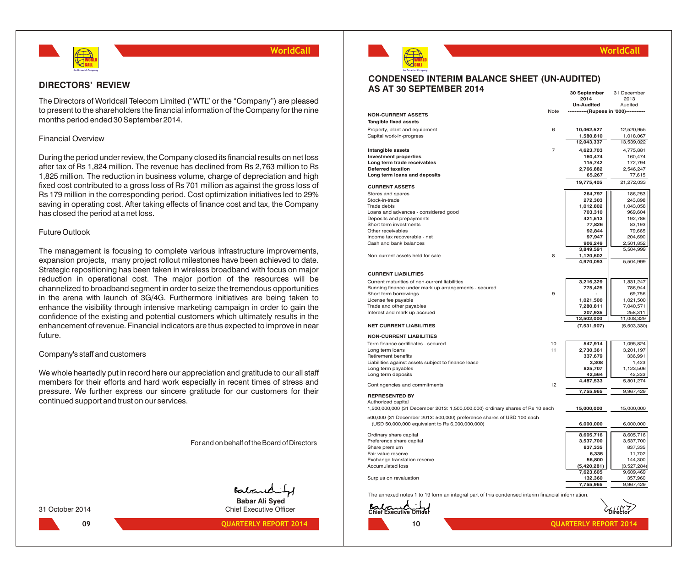

## **DIRECTORS' REVIEW**

The Directors of Worldcall Telecom Limited ("WTL" or the "Company") are pleased to present to the shareholders the financial information of the Company for the nine months period ended 30 September 2014.

## Financial Overview

During the period under review, the Company closed its financial results on net loss after tax of Rs 1,824 million. The revenue has declined from Rs 2,763 million to Rs 1,825 million. The reduction in business volume, charge of depreciation and high fixed cost contributed to a gross loss of Rs 701 million as against the gross loss of Rs 179 million in the corresponding period. Cost optimization initiatives led to 29% saving in operating cost. After taking effects of finance cost and tax, the Company has closed the period at a net loss.

## Future Outlook

The management is focusing to complete various infrastructure improvements, expansion projects, many project rollout milestones have been achieved to date. Strategic repositioning has been taken in wireless broadband with focus on major reduction in operational cost. The major portion of the resources will be channelized to broadband segment in order to seize the tremendous opportunities in the arena with launch of 3G/4G. Furthermore initiatives are being taken to enhance the visibility through intensive marketing campaign in order to gain the confidence of the existing and potential customers which ultimately results in the enhancement of revenue. Financial indicators are thus expected to improve in near future.

## Company's staff and customers

We whole heartedly put in record here our appreciation and gratitude to our all staff members for their efforts and hard work especially in recent times of stress and pressure. We further express our sincere gratitude for our customers for their continued support and trust on our services.

For and on behalf of the Board of Directors

Babard

**Babar Ali Syed** 31 October 2014 Chief Executive Officer



**09 QUARTERLY REPORT 2014 QUARTERLY REPORT 2014**



## **WorldCall**

#### **CONDENSED INTERIM BALANCE SHEET (UN-AUDITED) AS AT 30 SEPTEMBER 2014 30 September** 31 December

|                                                                               |          | 2014                               | 2013                 |
|-------------------------------------------------------------------------------|----------|------------------------------------|----------------------|
|                                                                               |          | Un-Audited                         | Audited              |
| <b>NON-CURRENT ASSETS</b>                                                     | Note     | -----------(Rupees in '000)------- |                      |
| <b>Tangible fixed assets</b>                                                  |          |                                    |                      |
| Property, plant and equipment                                                 | 6        | 10,462,527                         | 12,520,955           |
| Capital work-in-progress                                                      |          | 1,580,810                          | 1,018,067            |
|                                                                               |          | 12,043,337                         | 13,539,022           |
| Intangible assets                                                             | 7        | 4,623,703                          | 4,775,881            |
| <b>Investment properties</b>                                                  |          | 160,474                            | 160,474              |
| Long term trade receivables                                                   |          | 115,742                            | 172,794              |
| <b>Deferred taxation</b>                                                      |          | 2,766,882                          | 2,546,247            |
| Long term loans and deposits                                                  |          | 65,267                             | 77,615               |
| <b>CURRENT ASSETS</b>                                                         |          | 19,775,405                         | 21,272,033           |
| Stores and spares                                                             |          | 264,797                            | 186,253              |
| Stock-in-trade                                                                |          | 272,303                            | 243,898              |
| Trade debts                                                                   |          | 1,012,802                          | 1,043,058            |
| Loans and advances - considered good                                          |          | 703,310                            | 969,604              |
| Deposits and prepayments                                                      |          | 421,513                            | 192,786              |
| Short term investments                                                        |          | 77,826                             | 83,193               |
| Other receivables                                                             |          | 92,844                             | 79,665               |
| Income tax recoverable - net                                                  |          | 97,947                             | 204,690              |
| Cash and bank balances                                                        |          | 906,249                            | 2,501,852            |
|                                                                               |          | 3,849,591                          | 5,504,999            |
| Non-current assets held for sale                                              | 8        | 1,120,502                          |                      |
|                                                                               |          | 4,970,093                          | 5,504,999            |
| <b>CURRENT LIABILITIES</b>                                                    |          |                                    |                      |
|                                                                               |          |                                    |                      |
| Current maturities of non-current liabilities                                 |          | 3,216,329<br>775,425               | 1,831,247<br>786,944 |
| Running finance under mark up arrangements - secured<br>Short term borrowings | 9        |                                    | 69,756               |
| License fee payable                                                           |          | 1,021,500                          | 1,021,500            |
| Trade and other payables                                                      |          | 7,280,811                          | 7,040,571            |
| Interest and mark up accrued                                                  |          | 207,935                            | 258,311              |
|                                                                               |          | 12,502,000                         | 11,008,329           |
| <b>NET CURRENT LIABILITIES</b>                                                |          | (7,531,907)                        | (5,503,330)          |
| <b>NON-CURRENT LIABILITIES</b>                                                |          |                                    |                      |
|                                                                               |          |                                    |                      |
| Term finance certificates - secured                                           | 10<br>11 | 547,914                            | 1,095,824            |
| Long term loans                                                               |          | 2,730,361                          | 3,201,197            |
| Retirement benefits<br>Liabilities against assets subject to finance lease    |          | 337,679<br>3,308                   | 336,991<br>1,423     |
| Long term payables                                                            |          | 825,707                            | 1,123,506            |
| Long term deposits                                                            |          | 42,564                             | 42,333               |
|                                                                               |          | 4,487,533                          | 5,801,274            |
| Contingencies and commitments                                                 | 12       |                                    |                      |
| <b>REPRESENTED BY</b>                                                         |          | 7,755,965                          | 9,967,429            |
| Authorized capital                                                            |          |                                    |                      |
| 1,500,000,000 (31 December 2013: 1,500,000,000) ordinary shares of Rs 10 each |          | 15,000,000                         | 15,000,000           |
| 500,000 (31 December 2013: 500,000) preference shares of USD 100 each         |          |                                    |                      |
| (USD 50,000,000 equivalent to Rs 6,000,000,000)                               |          | 6,000,000                          | 6,000,000            |
|                                                                               |          |                                    |                      |
| Ordinary share capital                                                        |          | 8,605,716                          | 8,605,716            |
| Preference share capital                                                      |          | 3,537,700                          | 3,537,700            |
| Share premium                                                                 |          | 837,335                            | 837,335              |
| Fair value reserve                                                            |          | 6,335                              | 11,702               |
| Exchange translation reserve                                                  |          | 56,800                             | 144,300              |
| <b>Accumulated loss</b>                                                       |          | (5,420,281)                        | (3,527,284)          |
|                                                                               |          | 7,623,605                          | 9,609,469            |
| Surplus on revaluation                                                        |          | 132,360                            | 357,960              |
|                                                                               |          | 7,755,965                          | 9,967,429            |

The annexed notes 1 to 19 form an integral part of this condensed interim financial information.

| Balcond Thief | $6$ irector |  |
|---------------|-------------|--|
|               |             |  |

 $\mathbf{r}$  $\sqrt{r}$ 

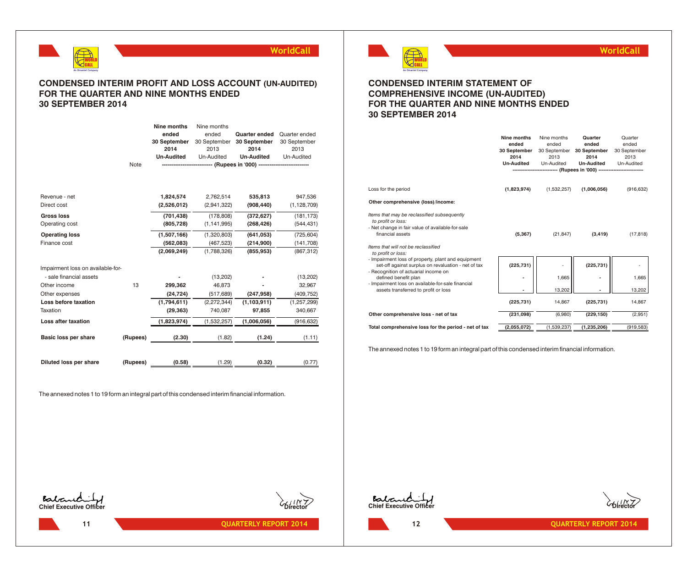

## **CONDENSED INTERIM PROFIT AND LOSS ACCOUNT (UN-AUDITED) FOR THE QUARTER AND NINE MONTHS ENDED 30 SEPTEMBER 2014**

|                                   |          | Nine months       | Nine months   |                                                                          |               |
|-----------------------------------|----------|-------------------|---------------|--------------------------------------------------------------------------|---------------|
|                                   |          | ended             | ended         | <b>Quarter ended</b>                                                     | Quarter ended |
|                                   |          | 30 September      | 30 September  | 30 September                                                             | 30 September  |
|                                   |          | 2014              | 2013          | 2014                                                                     | 2013          |
|                                   |          | <b>Un-Audited</b> | Un-Audited    | <b>Un-Audited</b>                                                        | Un-Audited    |
|                                   | Note     |                   |               | --------------------------- (Rupees in '000) --------------------------- |               |
|                                   |          |                   |               |                                                                          |               |
| Revenue - net                     |          | 1,824,574         | 2,762,514     | 535,813                                                                  | 947,536       |
| Direct cost                       |          | (2,526,012)       | (2,941,322)   | (908, 440)                                                               | (1, 128, 709) |
| <b>Gross loss</b>                 |          | (701, 438)        | (178, 808)    | (372, 627)                                                               | (181, 173)    |
| Operating cost                    |          | (805, 728)        | (1, 141, 995) | (268, 426)                                                               | (544, 431)    |
| <b>Operating loss</b>             |          | (1,507,166)       | (1,320,803)   | (641, 053)                                                               | (725, 604)    |
| Finance cost                      |          | (562,083)         | (467, 523)    | (214,900)                                                                | (141, 708)    |
|                                   |          | (2,069,249)       | (1,788,326)   | (855, 953)                                                               | (867, 312)    |
| Impairment loss on available-for- |          |                   |               |                                                                          |               |
| - sale financial assets           |          |                   | (13,202)      |                                                                          | (13,202)      |
| Other income                      | 13       | 299,362           | 46.873        |                                                                          | 32,967        |
| Other expenses                    |          | (24, 724)         | (517, 689)    | (247, 958)                                                               | (409, 752)    |
| Loss before taxation              |          | (1,794,611)       | (2,272,344)   | (1, 103, 911)                                                            | (1, 257, 299) |
| Taxation                          |          | (29, 363)         | 740,087       | 97,855                                                                   | 340,667       |
| Loss after taxation               |          | (1,823,974)       | (1,532,257)   | (1,006,056)                                                              | (916.632)     |
| Basic loss per share              | (Rupees) | (2.30)            | (1.82)        | (1.24)                                                                   | (1.11)        |
| Diluted loss per share            | (Rupees) | (0.58)            | (1.29)        | (0.32)                                                                   | (0.77)        |

The annexed notes 1 to 19 form an integral part of this condensed interim financial information.



## **WorldCall**

## **CONDENSED INTERIM STATEMENT OF COMPREHENSIVE INCOME (UN-AUDITED) FOR THE QUARTER AND NINE MONTHS ENDED 30 SEPTEMBER 2014**

|                                                                                                                                                                                                        | Nine months<br>ended<br>30 September<br>2014<br><b>Un-Audited</b> | Nine months<br>ended<br>30 September<br>2013<br>Un-Audited<br>------------------ (Rupees in '000) --------------------------- | Quarter<br>ended<br>30 September<br>2014<br><b>Un-Audited</b> | Quarter<br>ended<br>30 September<br>2013<br>Un-Audited |
|--------------------------------------------------------------------------------------------------------------------------------------------------------------------------------------------------------|-------------------------------------------------------------------|-------------------------------------------------------------------------------------------------------------------------------|---------------------------------------------------------------|--------------------------------------------------------|
| Loss for the period                                                                                                                                                                                    | (1,823,974)                                                       | (1,532,257)                                                                                                                   | (1,006,056)                                                   | (916, 632)                                             |
| Other comprehensive (loss)/income:                                                                                                                                                                     |                                                                   |                                                                                                                               |                                                               |                                                        |
| Items that may be reclassified subsequently<br>to profit or loss:<br>- Net change in fair value of available-for-sale<br>financial assets<br>Items that will not be reclassified<br>to profit or loss: | (5, 367)                                                          | (21, 847)                                                                                                                     | (3, 419)                                                      | (17, 818)                                              |
| - Impairment loss of property, plant and equipment<br>set-off against surplus on revaluation - net of tax                                                                                              | (225, 731)                                                        |                                                                                                                               | (225, 731)                                                    |                                                        |
| - Recognition of actuarial income on<br>defined benefit plan<br>- Impairment loss on available-for-sale financial                                                                                      |                                                                   | 1,665                                                                                                                         |                                                               | 1,665                                                  |
| assets transferred to profit or loss                                                                                                                                                                   |                                                                   | 13,202                                                                                                                        |                                                               | 13,202                                                 |
|                                                                                                                                                                                                        | (225, 731)                                                        | 14,867                                                                                                                        | (225, 731)                                                    | 14,867                                                 |
| Other comprehensive loss - net of tax                                                                                                                                                                  | (231,098)                                                         | (6,980)                                                                                                                       | (229, 150)                                                    | (2,951)                                                |
| Total comprehensive loss for the period - net of tax                                                                                                                                                   | (2,055,072)                                                       | (1,539,237)                                                                                                                   | (1,235,206)                                                   | (919, 583)                                             |

The annexed notes 1 to 19 form an integral part of this condensed interim financial information.



**11 CONSERVISHERLY REPORT 2014 CONSERVISHERLY REPORT 2014 12 12 CONSERVISHERLY REPORT 2014** 



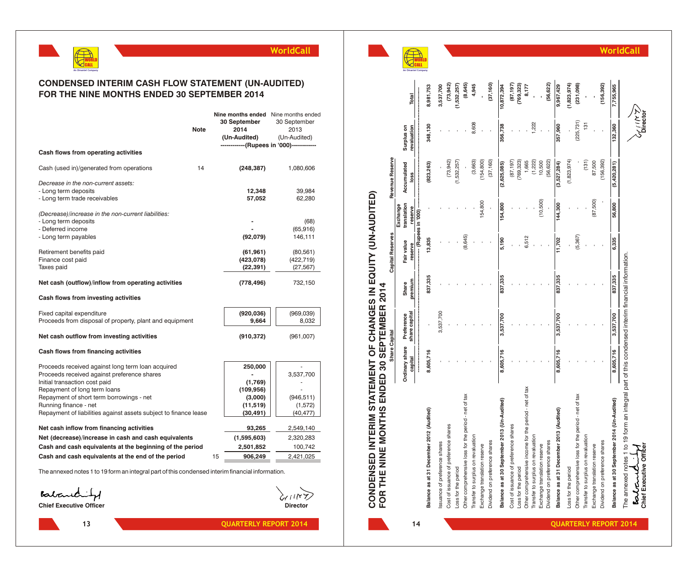

## **CONDENSED INTERIM CASH FLOW STATEMENT (UN-AUDITED) FOR THE NINE MONTHS ENDED 30 SEPTEMBER 2014**

|                                                                                                                                                                                                                                        | <b>Note</b> |    | 30 September<br>2014<br>(Un-Audited)                   | <b>Nine months ended</b> Nine months ended<br>30 September<br>2013<br>(Un-Audited)<br>------------(Rupees in '000)------------ |
|----------------------------------------------------------------------------------------------------------------------------------------------------------------------------------------------------------------------------------------|-------------|----|--------------------------------------------------------|--------------------------------------------------------------------------------------------------------------------------------|
| Cash flows from operating activities                                                                                                                                                                                                   |             |    |                                                        |                                                                                                                                |
| Cash (used in)/generated from operations                                                                                                                                                                                               | 14          |    | (248, 387)                                             | 1,080,606                                                                                                                      |
| Decrease in the non-current assets:<br>- Long term deposits<br>- Long term trade receivables                                                                                                                                           |             |    | 12,348<br>57,052                                       | 39,984<br>62,280                                                                                                               |
| (Decrease)/increase in the non-current liabilities:<br>- Long term deposits<br>- Deferred income<br>- Long term payables                                                                                                               |             |    | (92,079)                                               | (68)<br>(65, 916)<br>146,111                                                                                                   |
| Retirement benefits paid<br>Finance cost paid<br>Taxes paid                                                                                                                                                                            |             |    | (61, 961)<br>(423, 078)<br>(22, 391)                   | (80, 561)<br>(422, 719)<br>(27, 567)                                                                                           |
| Net cash (outflow)/inflow from operating activities                                                                                                                                                                                    |             |    | (778, 496)                                             | 732,150                                                                                                                        |
| Cash flows from investing activities                                                                                                                                                                                                   |             |    |                                                        |                                                                                                                                |
| Fixed capital expenditure<br>Proceeds from disposal of property, plant and equipment                                                                                                                                                   |             |    | (920, 036)<br>9,664                                    | (969, 039)<br>8,032                                                                                                            |
| Net cash outflow from investing activities                                                                                                                                                                                             |             |    | (910, 372)                                             | (961,007)                                                                                                                      |
| Cash flows from financing activities                                                                                                                                                                                                   |             |    |                                                        |                                                                                                                                |
| Proceeds received against long term loan acquired<br>Proceeds received against preference shares<br>Initial transaction cost paid<br>Repayment of long term loans<br>Repayment of short term borrowings - net<br>Running finance - net |             |    | 250,000<br>(1,769)<br>(109,956)<br>(3,000)<br>(11,519) | 3,537,700<br>(946, 511)<br>(1,572)                                                                                             |
| Repayment of liabilities against assets subject to finance lease                                                                                                                                                                       |             |    | (30, 491)                                              | (40,477)                                                                                                                       |
| Net cash inflow from financing activities                                                                                                                                                                                              |             |    | 93,265                                                 | 2,549,140                                                                                                                      |
| Net (decrease)/increase in cash and cash equivalents<br>Cash and cash equivalents at the beginning of the period                                                                                                                       |             |    | (1,595,603)                                            | 2,320,283<br>100,742                                                                                                           |
| Cash and cash equivalents at the end of the period                                                                                                                                                                                     |             | 15 | 2,501,852<br>906,249                                   | 2,421,025                                                                                                                      |
|                                                                                                                                                                                                                                        |             |    |                                                        |                                                                                                                                |

The annexed notes 1 to 19 form an integral part of this condensed interim financial information.

Balanchity

**Chief Executive Officer Director Director** 



 $1N<sub>Y</sub>$ 



## **WorldCall**

**Chief Executive Officer Director**

| FOR THE NINE MONTHS ENDED 30 SEPTEMBER 2014                                                                                            |                       |               |         |                         |                         |                 |                 |             |
|----------------------------------------------------------------------------------------------------------------------------------------|-----------------------|---------------|---------|-------------------------|-------------------------|-----------------|-----------------|-------------|
|                                                                                                                                        | Share Capital         |               |         | <b>Capital Reserves</b> |                         | Revenue Reserve |                 |             |
|                                                                                                                                        | <b>Ordinary share</b> | Preference    | Share   | Fair value              | translation<br>Exchange | Accumulated     | Surplus on      |             |
|                                                                                                                                        | capital               | share capital | premium | reserve                 | reserve                 | loss            | revaluation     | Total       |
|                                                                                                                                        |                       |               |         |                         | (Rupees in '000)        |                 |                 |             |
| Balance as at 31 December 2012 (Audited)                                                                                               | 8,605,716             |               | 837,335 | 13,835                  |                         | 823,263)        | 348,130         | 8,981,753   |
| Issuance of preference shares                                                                                                          |                       | 3,537,700     |         |                         |                         |                 |                 | 3,537,700   |
| Cost of issuance of preference shares                                                                                                  |                       |               |         |                         |                         | (73, 942)       |                 | (73, 942)   |
| Loss for the period                                                                                                                    |                       |               |         |                         |                         | (1,532,257)     |                 | (1,532,257) |
| Other comprehensive loss for the period - net of tax                                                                                   |                       |               |         | (8,645)                 |                         |                 |                 | (8, 645)    |
| Transfer to surplus on revaluation                                                                                                     |                       |               |         |                         |                         | (3,663)         | 8,608           | 4,945       |
| Exchange translation reserve                                                                                                           |                       |               |         |                         | 154,800                 | 154,800         |                 |             |
| Dividend on preference shares                                                                                                          |                       |               |         |                         |                         | (37, 160)       |                 | (37, 160)   |
| Balance as at 30 September 2013 (Un-Audited)                                                                                           | 8,605,716             | 3,537,700     | 837,335 | 5,190                   | 154,800                 | (2,625,085)     | 356,738         | 10,872,394  |
| Cost of issuance of preference shares                                                                                                  |                       |               |         |                         |                         | (87, 197)       |                 | (87, 197)   |
| Loss for the period                                                                                                                    |                       |               |         |                         |                         | 769,323)        |                 | (769, 323)  |
| Other comprehensive income for the period - net of tax                                                                                 |                       |               |         | 6,512                   |                         | 1,665           |                 | 8,177       |
| Transfer to surplus on revaluation                                                                                                     |                       |               |         |                         |                         | (1, 222)        | 1,222           |             |
| Exchange translation reserve                                                                                                           |                       |               |         |                         | (10,500)                | 10,500          |                 |             |
| Dividend on preference shares                                                                                                          |                       |               |         |                         |                         | 56,622)         |                 | (56, 622)   |
| Balance as at 31 December 2013 (Audited)                                                                                               | 8,605,716             | 3,537,700     | 837,335 | 11,702                  | 144,300                 | (3,527,284)     | 357,960         | 9,967,429   |
| Loss for the period                                                                                                                    |                       |               |         |                         |                         | (1,823,974)     |                 | (1,823,974) |
| Other comprehensive loss for the period - net of tax                                                                                   |                       |               |         | (5, 367)                |                         |                 | (225, 731)      | (231,098)   |
| Transfer to surplus on revaluation                                                                                                     |                       |               |         |                         |                         | (131)           | 131             |             |
| Exchange translation reserve                                                                                                           |                       |               |         |                         | (87,500)                | 87,500          |                 |             |
| Dividend on preference shares                                                                                                          |                       |               |         |                         |                         | 156,392)        |                 | (156, 392)  |
| Balance as at 30 September 2014 (Un-Audited)                                                                                           | 8,605,716             | 3,537,700     | 837,335 | 6,335                   | 56,800                  | (5,420,281)     | 132,360         | 7,755,965   |
| The annexed notes 1 to 19 form an integral part of this condensed interim financial information.<br>Chief Executive Officer<br>Partane |                       |               |         |                         |                         |                 | とこえ<br>Cliestor |             |

**14**

**CO N D E N** ဖာ " **E**

**D IN T E**

**RIM**

**S TAT E M E** Z ? **T O** l≞ i ပ -**H A N G E S IN**

**E Q**

**UITY (U**

**N-A U**

**DIT E D)**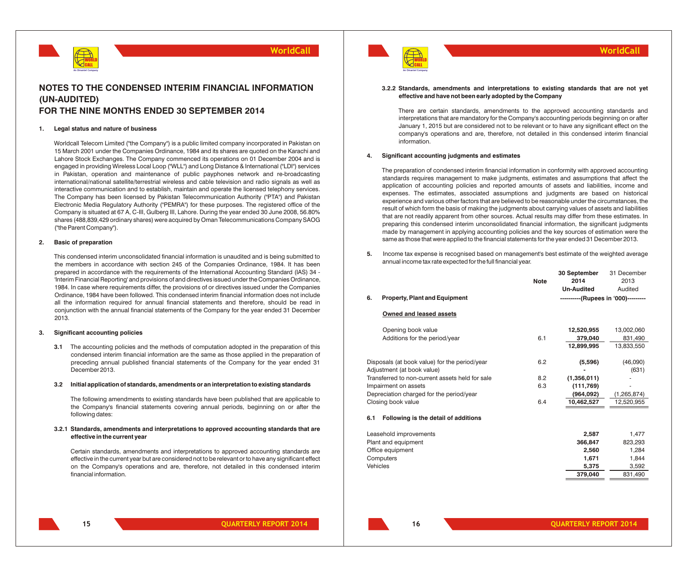

## **NOTES TO THE CONDENSED INTERIM FINANCIAL INFORMATION (UN-AUDITED) FOR THE NINE MONTHS ENDED 30 SEPTEMBER 2014**

#### **1. Legal status and nature of business**

Worldcall Telecom Limited ("the Company") is a public limited company incorporated in Pakistan on 15 March 2001 under the Companies Ordinance, 1984 and its shares are quoted on the Karachi and Lahore Stock Exchanges. The Company commenced its operations on 01 December 2004 and is engaged in providing Wireless Local Loop ("WLL") and Long Distance & International ("LDI") services in Pakistan, operation and maintenance of public payphones network and re-broadcasting international/national satellite/terrestrial wireless and cable television and radio signals as well as interactive communication and to establish, maintain and operate the licensed telephony services. The Company has been licensed by Pakistan Telecommunication Authority ("PTA") and Pakistan Electronic Media Regulatory Authority ("PEMRA") for these purposes. The registered office of the Company is situated at 67 A, C-III, Gulberg III, Lahore. During the year ended 30 June 2008, 56.80% shares (488,839,429 ordinary shares) were acquired by Oman Telecommunications Company SAOG ("the Parent Company").

#### **2. Basic of preparation**

This condensed interim unconsolidated financial information is unaudited and is being submitted to the members in accordance with section 245 of the Companies Ordinance, 1984. It has been prepared in accordance with the requirements of the International Accounting Standard (IAS) 34 - 'Interim Financial Reporting' and provisions of and directives issued under the Companies Ordinance, 1984. In case where requirements differ, the provisions of or directives issued under the Companies Ordinance, 1984 have been followed. This condensed interim financial information does not include all the information required for annual financial statements and therefore, should be read in conjunction with the annual financial statements of the Company for the year ended 31 December 2013.

#### **3. Significant accounting policies**

**3.1** The accounting policies and the methods of computation adopted in the preparation of this condensed interim financial information are the same as those applied in the preparation of preceding annual published financial statements of the Company for the year ended 31 December 2013.

#### **3.2 Initial application of standards, amendments or an interpretation to existing standards**

The following amendments to existing standards have been published that are applicable to the Company's financial statements covering annual periods, beginning on or after the following dates:

#### **3.2.1 Standards, amendments and interpretations to approved accounting standards that are effective in the current year**

Certain standards, amendments and interpretations to approved accounting standards are effective in the current year but are considered not to be relevant or to have any significant effect on the Company's operations and are, therefore, not detailed in this condensed interim financial information.



#### **3.2.2 Standards, amendments and interpretations to existing standards that are not yet effective and have not been early adopted by the Company**

**WorldCall**

There are certain standards, amendments to the approved accounting standards and interpretations that are mandatory for the Company's accounting periods beginning on or after January 1, 2015 but are considered not to be relevant or to have any significant effect on the company's operations and are, therefore, not detailed in this condensed interim financial information.

#### **4. Significant accounting judgments and estimates**

The preparation of condensed interim financial information in conformity with approved accounting standards requires management to make judgments, estimates and assumptions that affect the application of accounting policies and reported amounts of assets and liabilities, income and expenses. The estimates, associated assumptions and judgments are based on historical experience and various other factors that are believed to be reasonable under the circumstances, the result of which form the basis of making the judgments about carrying values of assets and liabilities that are not readily apparent from other sources. Actual results may differ from these estimates. In preparing this condensed interim unconsolidated financial information, the significant judgments made by management in applying accounting policies and the key sources of estimation were the same as those that were applied to the financial statements for the year ended 31 December 2013.

**5.** Income tax expense is recognised based on management's best estimate of the weighted average annual income tax rate expected for the full financial year.

|     |                                                 |             | 30 September                        | 31 December   |
|-----|-------------------------------------------------|-------------|-------------------------------------|---------------|
|     |                                                 | <b>Note</b> | 2014                                | 2013          |
|     |                                                 |             | <b>Un-Audited</b>                   | Audited       |
| 6.  | <b>Property, Plant and Equipment</b>            |             | ----------(Rupees in '000)--------- |               |
|     | Owned and leased assets                         |             |                                     |               |
|     | Opening book value                              |             | 12,520,955                          | 13,002,060    |
|     | Additions for the period/year                   | 6.1         | 379,040                             | 831,490       |
|     |                                                 |             | 12,899,995                          | 13,833,550    |
|     |                                                 |             |                                     |               |
|     | Disposals (at book value) for the period/year   | 6.2         | (5,596)                             | (46,090)      |
|     | Adjustment (at book value)                      |             |                                     | (631)         |
|     | Transferred to non-current assets held for sale | 8.2         | (1,356,011)                         |               |
|     | Impairment on assets                            | 6.3         | (111,769)                           |               |
|     | Depreciation charged for the period/year        |             | (964,092)                           | (1, 265, 874) |
|     | Closing book value                              | 6.4         | 10,462,527                          | 12,520,955    |
| 6.1 | Following is the detail of additions            |             |                                     |               |
|     | Leasehold improvements                          |             | 2,587                               | 1,477         |
|     | Plant and equipment                             |             | 366,847                             | 823,293       |
|     | Office equipment                                |             | 2,560                               | 1,284         |
|     | Computers                                       |             | 1,671                               | 1,844         |
|     | Vehicles                                        |             | 5,375                               | 3,592         |
|     |                                                 |             | 379,040                             | 831,490       |
|     |                                                 |             |                                     |               |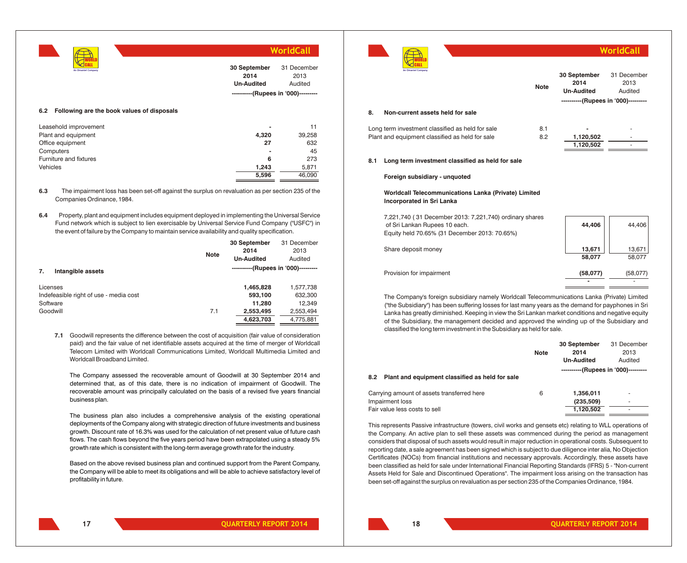

#### **6.2 Following are the book values of disposals**

| Leasehold improvement  | $\blacksquare$ |        |
|------------------------|----------------|--------|
| Plant and equipment    | 4,320          | 39,258 |
| Office equipment       | 27             | 632    |
| Computers              | $\blacksquare$ | 45     |
| Furniture and fixtures | 6              | 273    |
| Vehicles               | 1.243          | 5,871  |
|                        | 5,596          | 46.090 |

- **6.3** The impairment loss has been set-off against the surplus on revaluation as per section 235 of the Companies Ordinance, 1984.
- **6.4** Property, plant and equipment includes equipment deployed in implementing the Universal Service Fund network which is subject to lien exercisable by Universal Service Fund Company ("USFC") in the event of failure by the Company to maintain service availability and quality specification.

|                                        | <b>Note</b> | 30 September<br>2014<br><b>Un-Audited</b> | 31 December<br>2013<br>Audited |
|----------------------------------------|-------------|-------------------------------------------|--------------------------------|
| Intangible assets<br>7.                |             | ----------(Rupees in '000)---------       |                                |
| Licenses                               |             | 1,465,828                                 | 1,577,738                      |
| Indefeasible right of use - media cost |             | 593,100                                   | 632,300                        |
| Software                               |             | 11,280                                    | 12,349                         |
| Goodwill                               | 7.1         | 2,553,495                                 | 2,553,494                      |
|                                        |             | 4,623,703                                 | 4,775,881                      |
|                                        |             |                                           |                                |

**7.1** Goodwill represents the difference between the cost of acquisition (fair value of consideration paid) and the fair value of net identifiable assets acquired at the time of merger of Worldcall Telecom Limited with Worldcall Communications Limited, Worldcall Multimedia Limited and Worldcall Broadband Limited.

The Company assessed the recoverable amount of Goodwill at 30 September 2014 and determined that, as of this date, there is no indication of impairment of Goodwill. The recoverable amount was principally calculated on the basis of a revised five years financial business plan.

The business plan also includes a comprehensive analysis of the existing operational deployments of the Company along with strategic direction of future investments and business growth. Discount rate of 16.3% was used for the calculation of net present value of future cash flows. The cash flows beyond the five years period have been extrapolated using a steady 5% growth rate which is consistent with the long-term average growth rate for the industry.

Based on the above revised business plan and continued support from the Parent Company, the Company will be able to meet its obligations and will be able to achieve satisfactory level of profitability in future.



|     |                                                                                                                                           | <b>Note</b> | 30 September<br>2014<br><b>Un-Audited</b><br>----------(Rupees in '000)--------- | 31 December<br>2013<br>Audited |
|-----|-------------------------------------------------------------------------------------------------------------------------------------------|-------------|----------------------------------------------------------------------------------|--------------------------------|
| 8.  | Non-current assets held for sale                                                                                                          |             |                                                                                  |                                |
|     | Long term investment classified as held for sale<br>Plant and equipment classified as held for sale                                       | 8.1<br>8.2  | 1,120,502<br>1,120,502                                                           |                                |
| 8.1 | Long term investment classified as held for sale                                                                                          |             |                                                                                  |                                |
|     | Foreign subsidiary - unquoted                                                                                                             |             |                                                                                  |                                |
|     | Worldcall Telecommunications Lanka (Private) Limited<br><b>Incorporated in Sri Lanka</b>                                                  |             |                                                                                  |                                |
|     | 7,221,740 (31 December 2013: 7,221,740) ordinary shares<br>of Sri Lankan Rupees 10 each.<br>Equity held 70.65% (31 December 2013: 70.65%) |             | 44,406                                                                           | 44,406                         |
|     | Share deposit money                                                                                                                       |             | 13,671<br>58,077                                                                 | 13,671<br>58.077               |

The Company's foreign subsidiary namely Worldcall Telecommunications Lanka (Private) Limited ("the Subsidiary") has been suffering losses for last many years as the demand for payphones in Sri Lanka has greatly diminished. Keeping in view the Sri Lankan market conditions and negative equity of the Subsidiary, the management decided and approved the winding up of the Subsidiary and classified the long term investment in the Subsidiary as held for sale.

Provision for impairment **(58,077)** (58,077)

|                                                        |      | 30 September                        | 31 December              |
|--------------------------------------------------------|------|-------------------------------------|--------------------------|
|                                                        | Note | 2014                                | 2013                     |
|                                                        |      | <b>Un-Audited</b>                   | Audited                  |
|                                                        |      | ----------(Rupees in '000)--------- |                          |
| Plant and equipment classified as held for sale<br>8.2 |      |                                     |                          |
| Carrying amount of assets transferred here             | 6    | 1.356.011                           | $\overline{\phantom{a}}$ |
| Impairment loss                                        |      | (235, 509)                          |                          |
| Fair value less costs to sell                          |      | 1.120.502                           |                          |

This represents Passive infrastructure (towers, civil works and gensets etc) relating to WLL operations of the Company. An active plan to sell these assets was commenced during the period as management considers that disposal of such assets would result in major reduction in operational costs. Subsequent to reporting date, a sale agreement has been signed which is subject to due diligence inter alia, No Objection Certificates (NOCs) from financial institutions and necessary approvals. Accordingly, these assets have been classified as held for sale under International Financial Reporting Standards (IFRS) 5 - "Non-current Assets Held for Sale and Discontinued Operations". The impairment loss arising on the transaction has been set-off against the surplus on revaluation as per section 235 of the Companies Ordinance, 1984.

**18**

**-** -

**WorldCall**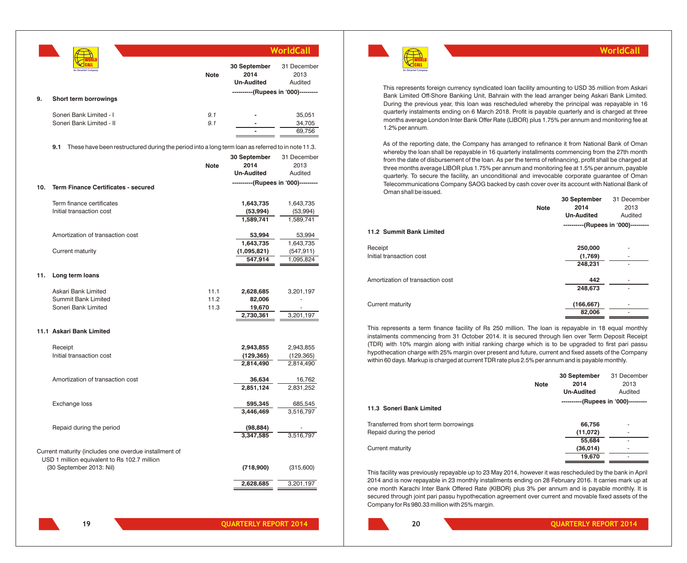|     |                                                                                                          |              |                                           | WorldCall                      |
|-----|----------------------------------------------------------------------------------------------------------|--------------|-------------------------------------------|--------------------------------|
|     |                                                                                                          | <b>Note</b>  | 30 September<br>2014<br><b>Un-Audited</b> | 31 December<br>2013<br>Audited |
| 9.  | Short term borrowings                                                                                    |              | ----------(Rupees in '000)---------       |                                |
|     |                                                                                                          |              |                                           |                                |
|     | Soneri Bank Limited - I                                                                                  | 9.1          |                                           | 35,051                         |
|     | Soneri Bank Limited - II                                                                                 | 9.1          |                                           | 34,705                         |
|     |                                                                                                          |              |                                           | 69,756                         |
|     | These have been restructured during the period into a long term loan as referred to in note 11.3.<br>9.1 |              |                                           |                                |
|     |                                                                                                          | <b>Note</b>  | 30 September<br>2014                      | 31 December<br>2013            |
|     |                                                                                                          |              | <b>Un-Audited</b>                         | Audited                        |
| 10. | <b>Term Finance Certificates - secured</b>                                                               |              | ----------(Rupees in '000)---------       |                                |
|     |                                                                                                          |              |                                           |                                |
|     | Term finance certificates<br>Initial transaction cost                                                    |              | 1,643,735                                 | 1,643,735                      |
|     |                                                                                                          |              | (53, 994)<br>1,589,741                    | (53,994)<br>1,589,741          |
|     |                                                                                                          |              |                                           |                                |
|     | Amortization of transaction cost                                                                         |              | 53,994                                    | 53,994                         |
|     |                                                                                                          |              | 1,643,735                                 | 1,643,735                      |
|     | Current maturity                                                                                         |              | (1,095,821)<br>547,914                    | (547, 911)<br>1,095,824        |
| 11. | Long term loans                                                                                          |              |                                           |                                |
|     |                                                                                                          |              |                                           |                                |
|     | Askari Bank Limited<br>Summit Bank Limited                                                               | 11.1<br>11.2 | 2,628,685<br>82,006                       | 3,201,197                      |
|     | Soneri Bank Limited                                                                                      | 11.3         | 19,670                                    |                                |
|     |                                                                                                          |              | 2,730,361                                 | 3,201,197                      |
|     | 11.1 Askari Bank Limited                                                                                 |              |                                           |                                |
|     | Receipt                                                                                                  |              | 2,943,855                                 | 2,943,855                      |
|     | Initial transaction cost                                                                                 |              | (129, 365)                                | (129, 365)                     |
|     |                                                                                                          |              | 2,814,490                                 | 2,814,490                      |
|     | Amortization of transaction cost                                                                         |              | 36,634                                    | 16,762                         |
|     |                                                                                                          |              | 2,851,124                                 | 2,831,252                      |
|     | Exchange loss                                                                                            |              | 595,345                                   | 685,545                        |
|     |                                                                                                          |              | 3,446,469                                 | 3,516,797                      |
|     | Repaid during the period                                                                                 |              | (98, 884)                                 |                                |
|     |                                                                                                          |              | 3,347,585                                 | 3,516,797                      |
|     |                                                                                                          |              |                                           |                                |
|     | Current maturity (includes one overdue installment of<br>USD 1 million equivalent to Rs 102.7 million    |              |                                           |                                |
|     | (30 September 2013: Nil)                                                                                 |              | (718,900)                                 | (315,600)                      |
|     |                                                                                                          |              | 2,628,685                                 | 3,201,197                      |



**20**

**WorldCall**

This represents foreign currency syndicated loan facility amounting to USD 35 million from Askari Bank Limited Off-Shore Banking Unit, Bahrain with the lead arranger being Askari Bank Limited. During the previous year, this loan was rescheduled whereby the principal was repayable in 16 quarterly instalments ending on 6 March 2018. Profit is payable quarterly and is charged at three months average London Inter Bank Offer Rate (LIBOR) plus 1.75% per annum and monitoring fee at 1.2% per annum.

WORLD CALL **An Omantel Company**

As of the reporting date, the Company has arranged to refinance it from National Bank of Oman whereby the loan shall be repayable in 16 quarterly installments commencing from the 27th month from the date of disbursement of the loan. As per the terms of refinancing, profit shall be charged at three months average LIBOR plus 1.75% per annum and monitoring fee at 1.5% per annum, payable quarterly. To secure the facility, an unconditional and irrevocable corporate guarantee of Oman Telecommunications Company SAOG backed by cash cover over its account with National Bank of Oman shall be issued.

|                                  |             | 30 September                        | 31 December |
|----------------------------------|-------------|-------------------------------------|-------------|
|                                  | <b>Note</b> | 2014                                | 2013        |
|                                  |             | <b>Un-Audited</b>                   | Audited     |
|                                  |             | ----------(Rupees in '000)--------- |             |
| 11.2 Summit Bank Limited         |             |                                     |             |
| Receipt                          |             | 250,000                             |             |
| Initial transaction cost         |             | (1,769)                             | ۰           |
|                                  |             | 248,231                             |             |
| Amortization of transaction cost |             | 442                                 |             |
|                                  |             | 248,673                             |             |
| Current maturity                 |             | (166, 667)                          |             |
|                                  |             | 82,006                              |             |
|                                  |             |                                     |             |

This represents a term finance facility of Rs 250 million. The loan is repayable in 18 equal monthly instalments commencing from 31 October 2014. It is secured through lien over Term Deposit Receipt (TDR) with 10% margin along with initial ranking charge which is to be upgraded to first pari passu hypothecation charge with 25% margin over present and future, current and fixed assets of the Company within 60 days. Markup is charged at current TDR rate plus 2.5% per annum and is payable monthly.

|                                        |             | 30 September                        | 31 December              |
|----------------------------------------|-------------|-------------------------------------|--------------------------|
|                                        | <b>Note</b> | 2014                                | 2013                     |
|                                        |             | <b>Un-Audited</b>                   | Audited                  |
|                                        |             | ----------(Rupees in '000)--------- |                          |
| 11.3 Soneri Bank Limited               |             |                                     |                          |
| Transferred from short term borrowings |             | 66,756                              | $\overline{\phantom{a}}$ |
| Repaid during the period               |             | (11,072)                            | ۰                        |
|                                        |             | 55,684                              | ٠                        |
| Current maturity                       |             | (36, 014)                           |                          |
|                                        |             | 19,670                              | ۰                        |

This facility was previously repayable up to 23 May 2014, however it was rescheduled by the bank in April 2014 and is now repayable in 23 monthly installments ending on 28 February 2016. It carries mark up at one month Karachi Inter Bank Offered Rate (KIBOR) plus 3% per annum and is payable monthly. It is secured through joint pari passu hypothecation agreement over current and movable fixed assets of the Company for Rs 980.33 million with 25% margin.

**19 CONSERVISHERLY REPORT 2014 CONSERVISHERLY REPORT 2014 20 20 CONSERVISHERLY REPORT 2014**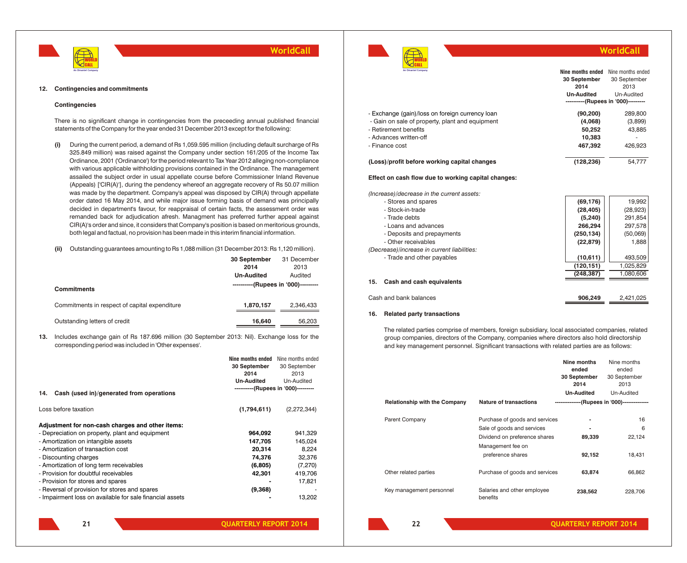



## **WorldCall**

| An Omantel Company                                  | Nine months ended | Nine months ended                   |
|-----------------------------------------------------|-------------------|-------------------------------------|
|                                                     | 30 September      | 30 September                        |
|                                                     | 2014              | 2013                                |
|                                                     | <b>Un-Audited</b> | Un-Audited                          |
|                                                     |                   | ----------(Rupees in '000)--------- |
| - Exchange (gain)/loss on foreign currency loan     | (90, 200)         | 289,800                             |
| - Gain on sale of property, plant and equipment     | (4,068)           | (3,899)                             |
| - Retirement benefits                               | 50,252            | 43,885                              |
| - Advances written-off                              | 10,383            |                                     |
| - Finance cost                                      | 467.392           | 426.923                             |
| (Loss)/profit before working capital changes        | (128, 236)        | 54.777                              |
| Effect on cash flow due to working capital changes: |                   |                                     |
|                                                     |                   |                                     |

*(Increase)/decrease in the current assets:*

| - Stores and spares                         | (69, 176)  | 19.992    |
|---------------------------------------------|------------|-----------|
| - Stock-in-trade                            | (28, 405)  | (28, 923) |
| - Trade debts                               | (5, 240)   | 291,854   |
| - Loans and advances                        | 266,294    | 297,578   |
| - Deposits and prepayments                  | (250, 134) | (50,069)  |
| - Other receivables                         | (22, 879)  | 1,888     |
| (Decrease)/increase in current liabilities: |            |           |
| - Trade and other payables                  | (10, 611)  | 493,509   |
|                                             | (120, 151) | 1,025,829 |
|                                             | (248,387)  | 1.080.606 |
| 15.<br>Cash and cash equivalents            |            |           |
| Cash and bank balances                      | 906.249    | 2.421.025 |
|                                             |            |           |

#### **16. Related party transactions**

The related parties comprise of members, foreign subsidiary, local associated companies, related group companies, directors of the Company, companies where directors also hold directorship and key management personnel. Significant transactions with related parties are as follows:

|                                      |                                                                                                                                         | Nine months<br>ended<br>30 September<br>2014 | Nine months<br>ended<br>30 September<br>2013 |
|--------------------------------------|-----------------------------------------------------------------------------------------------------------------------------------------|----------------------------------------------|----------------------------------------------|
|                                      |                                                                                                                                         | <b>Un-Audited</b>                            | Un-Audited                                   |
| <b>Relationship with the Company</b> | <b>Nature of transactions</b>                                                                                                           |                                              | --------------(Rupees in '000)-------------- |
| <b>Parent Company</b>                | Purchase of goods and services<br>Sale of goods and services<br>Dividend on preference shares<br>Management fee on<br>preference shares | ٠<br>89,339<br>92,152                        | 16<br>6<br>22,124<br>18,431                  |
| Other related parties                | Purchase of goods and services                                                                                                          | 63,874                                       | 66,862                                       |
| Key management personnel             | Salaries and other employee<br>benefits                                                                                                 | 238,562                                      | 228,706                                      |

**12. Contingencies and commitments**

#### **Contingencies**

There is no significant change in contingencies from the preceeding annual published financial statements of the Company for the year ended 31 December 2013 except for the following:

- **(i)** During the current period, a demand of Rs 1,059.595 million (including default surcharge of Rs 325.849 million) was raised against the Company under section 161/205 of the Income Tax Ordinance, 2001 ('Ordinance') for the period relevant to Tax Year 2012 alleging non-compliance with various applicable withholding provisions contained in the Ordinance. The management assailed the subject order in usual appellate course before Commissioner Inland Revenue (Appeals) ['CIR(A)'], during the pendency whereof an aggregate recovery of Rs 50.07 million was made by the department. Company's appeal was disposed by CIR(A) through appellate order dated 16 May 2014, and while major issue forming basis of demand was principally decided in department's favour, for reappraisal of certain facts, the assessment order was remanded back for adjudication afresh. Managment has preferred further appeal against CIR(A)'s order and since, it considers that Company's position is based on meritorious grounds, both legal and factual, no provision has been made in this interim financial information.
- **(ii)** Outstanding guarantees amounting to Rs 1,088 million (31 December 2013: Rs 1,120 million).

|                                               | 30 September                        | 31 December |
|-----------------------------------------------|-------------------------------------|-------------|
|                                               | 2014                                | 2013        |
|                                               | <b>Un-Audited</b>                   | Audited     |
| <b>Commitments</b>                            | ----------(Rupees in '000)--------- |             |
| Commitments in respect of capital expenditure | 1,870,157                           | 2.346.433   |
| Outstanding letters of credit                 | 16.640                              | 56.203      |

**13.** Includes exchange gain of Rs 187.696 million (30 September 2013: Nil). Exchange loss for the corresponding period was included in 'Other expenses'.

|                                                          | Nine months ended | Nine months ended                   |
|----------------------------------------------------------|-------------------|-------------------------------------|
|                                                          | 30 September      | 30 September                        |
|                                                          | 2014              | 2013                                |
|                                                          | <b>Un-Audited</b> | Un-Audited                          |
| Cash (used in)/generated from operations<br>14.          |                   | ----------(Rupees in '000)--------- |
| Loss before taxation                                     | (1,794.611)       | (2, 272, 344)                       |
| Adjustment for non-cash charges and other items:         |                   |                                     |
| - Depreciation on property, plant and equipment          | 964,092           | 941,329                             |
| - Amortization on intangible assets                      | 147.705           | 145,024                             |
| - Amortization of transaction cost                       | 20,314            | 8,224                               |
| - Discounting charges                                    | 74,376            | 32,376                              |
| - Amortization of long term receivables                  | (6, 805)          | (7, 270)                            |
| - Provision for doubtful receivables                     | 42,301            | 419,706                             |
| - Provision for stores and spares                        |                   | 17,821                              |
| - Reversal of provision for stores and spares            | (9,368)           |                                     |
| - Impairment loss on available for sale financial assets |                   | 13,202                              |

**22**

**21 QUARTERLY REPORT 2014 QUARTERLY REPORT 2014 22 22 QUARTERLY REPORT 2014**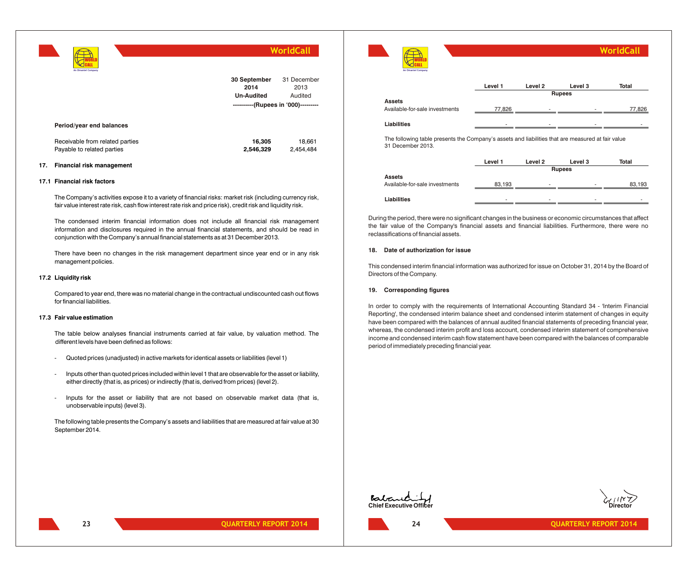| An Omantel Company                                            | <b>WorldCall</b>                                                                 |                                |
|---------------------------------------------------------------|----------------------------------------------------------------------------------|--------------------------------|
|                                                               | 30 September<br>2014<br><b>Un-Audited</b><br>----------(Rupees in '000)--------- | 31 December<br>2013<br>Audited |
| Period/year end balances                                      |                                                                                  |                                |
| Receivable from related parties<br>Payable to related parties | 16,305<br>2,546,329                                                              | 18,661<br>2,454,484            |

#### **17. Financial risk management**

#### **17.1 Financial risk factors**

The Company's activities expose it to a variety of financial risks: market risk (including currency risk, fair value interest rate risk, cash flow interest rate risk and price risk), credit risk and liquidity risk.

The condensed interim financial information does not include all financial risk management information and disclosures required in the annual financial statements, and should be read in conjunction with the Company's annual financial statements as at 31 December 2013.

There have been no changes in the risk management department since year end or in any risk management policies.

#### **17.2 Liquidity risk**

Compared to year end, there was no material change in the contractual undiscounted cash out flows for financial liabilities.

#### **17.3 Fair value estimation**

The table below analyses financial instruments carried at fair value, by valuation method. The different levels have been defined as follows:

- Quoted prices (unadjusted) in active markets for identical assets or liabilities (level 1)
- Inputs other than quoted prices included within level 1 that are observable for the asset or liability, either directly (that is, as prices) or indirectly (that is, derived from prices) (level 2).
- Inputs for the asset or liability that are not based on observable market data (that is, unobservable inputs) (level 3).

The following table presents the Company's assets and liabilities that are measured at fair value at 30 September 2014.

| An Omantel Company                                                                                                    |         |                    |               | <b>WorldCall</b> |
|-----------------------------------------------------------------------------------------------------------------------|---------|--------------------|---------------|------------------|
|                                                                                                                       | Level 1 | Level <sub>2</sub> | Level 3       | Total            |
|                                                                                                                       |         |                    | <b>Rupees</b> |                  |
| <b>Assets</b>                                                                                                         |         |                    |               |                  |
| Available-for-sale investments                                                                                        | 77,826  |                    |               | 77,826           |
| Liabilities                                                                                                           |         |                    |               |                  |
| The following table presents the Company's assets and liabilities that are measured at fair value<br>31 December 2013 |         |                    |               |                  |

**Level 1 Level 2 Level 3 Total Assets** Available-for-sale investments  $83,193$  -  $\qquad \qquad$  - 83,193 **Liabilities** - - - - **Rupees**

During the period, there were no significant changes in the business or economic circumstances that affect the fair value of the Company's financial assets and financial liabilities. Furthermore, there were no reclassifications of financial assets.

#### **18. Date of authorization for issue**

This condensed interim financial information was authorized for issue on October 31, 2014 by the Board of Directors of the Company.

#### **19. Corresponding figures**

In order to comply with the requirements of International Accounting Standard 34 - 'Interim Financial Reporting', the condensed interim balance sheet and condensed interim statement of changes in equity have been compared with the balances of annual audited financial statements of preceding financial year, whereas, the condensed interim profit and loss account, condensed interim statement of comprehensive income and condensed interim cash flow statement have been compared with the balances of comparable period of immediately preceding financial year.





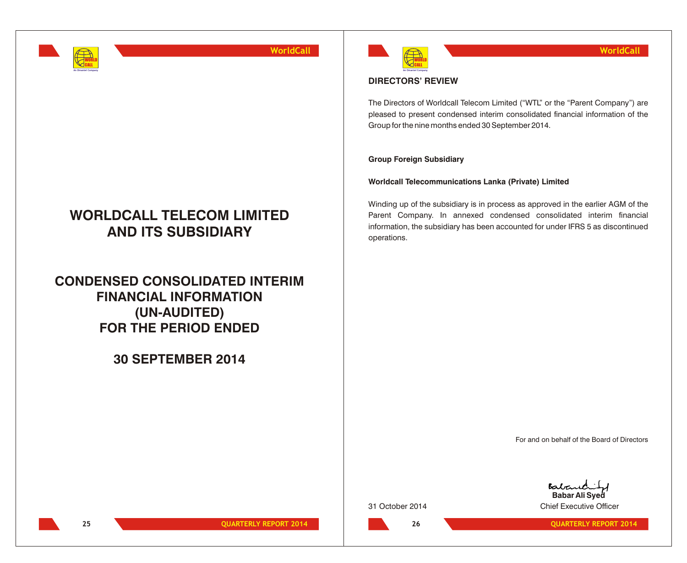

# **WORLDCALL TELECOM LIMITED AND ITS SUBSIDIARY**

**CONDENSED CONSOLIDATED INTERIM FINANCIAL INFORMATION (UN-AUDITED) FOR THE PERIOD ENDED**

**30 SEPTEMBER 2014**



## **DIRECTORS' REVIEW**

The Directors of Worldcall Telecom Limited ("WTL" or the "Parent Company") are pleased to present condensed interim consolidated financial information of the Group for the nine months ended 30 September 2014.

## **Group Foreign Subsidiary**

**Worldcall Telecommunications Lanka (Private) Limited**

Winding up of the subsidiary is in process as approved in the earlier AGM of the Parent Company. In annexed condensed consolidated interim financial information, the subsidiary has been accounted for under IFRS 5 as discontinued operations.

For and on behalf of the Board of Directors

**26**

Baban **Babar Ali Syed** 31 October 2014 Chief Executive Officer

**25 QUARTERLY REPORT 2014 CUARTERLY REPORT 2014 26 26 QUARTERLY REPORT 2014**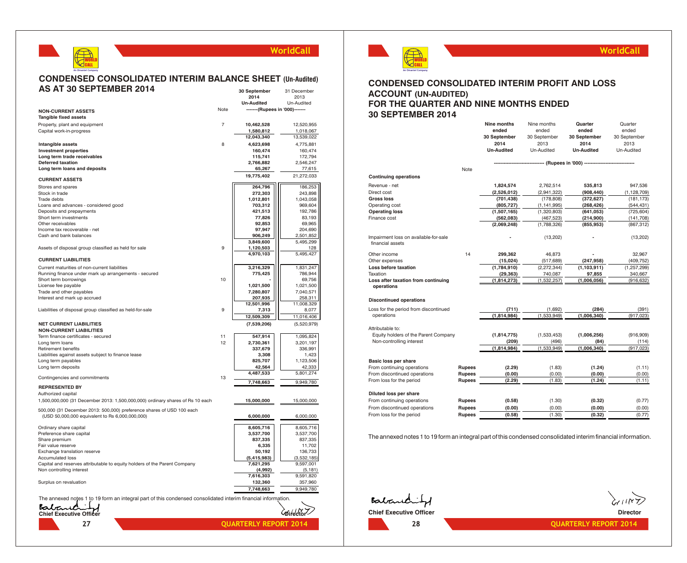#### **CONDENSED CONSOLIDATED INTERIM BALANCE SHEET (Un-Audited) AS AT 30 SEPTEMBER 2014 30 September** 31 December

WORLD CALL **An Omantel Company**

|                                                                                                                              |                | 2014                           | 2013                  |
|------------------------------------------------------------------------------------------------------------------------------|----------------|--------------------------------|-----------------------|
|                                                                                                                              |                | <b>Un-Audited</b>              | Un-Audited            |
| <b>NON-CURRENT ASSETS</b><br><b>Tangible fixed assets</b>                                                                    | Note           | -------(Rupees in '000)------- |                       |
| Property, plant and equipment                                                                                                | $\overline{7}$ | 10,462,528                     | 12,520,955            |
| Capital work-in-progress                                                                                                     |                | 1,580,812                      | 1,018,067             |
|                                                                                                                              |                | 12,043,340                     | 13,539,022            |
| Intangible assets                                                                                                            | 8              | 4,623,698                      | 4,775,881             |
| <b>Investment properties</b>                                                                                                 |                | 160,474                        | 160,474               |
| Long term trade receivables                                                                                                  |                | 115,741                        | 172,794               |
| <b>Deferred taxation</b>                                                                                                     |                | 2,766,882                      | 2,546,247             |
| Long term loans and deposits                                                                                                 |                | 65,267                         | 77,615                |
| <b>CURRENT ASSETS</b>                                                                                                        |                | 19,775,402                     | 21,272,033            |
| Stores and spares                                                                                                            |                | 264,796                        | 186,253               |
| Stock in trade                                                                                                               |                | 272,303                        | 243,898               |
| Trade debts                                                                                                                  |                | 1,012,801                      | 1,043,058             |
| Loans and advances - considered good                                                                                         |                | 703,312                        | 969,604               |
| Deposits and prepayments                                                                                                     |                | 421,513                        | 192,786               |
| Short term investments<br>Other receivables                                                                                  |                | 77,826<br>92,853               | 83,193<br>69,965      |
| Income tax recoverable - net                                                                                                 |                | 97,947                         | 204,690               |
| Cash and bank balances                                                                                                       |                | 906,249                        | 2,501,852             |
|                                                                                                                              |                | 3.849.600                      | 5,495,299             |
| Assets of disposal group classified as held for sale                                                                         | 9              | 1,120,503                      | 128                   |
| <b>CURRENT LIABILITIES</b>                                                                                                   |                | 4,970,103                      | 5,495,427             |
| Current maturities of non-current liabilities                                                                                |                |                                |                       |
| Running finance under mark up arrangements - secured                                                                         |                | 3,216,329<br>775,425           | 1,831,247<br>786,944  |
| Short term borrowings                                                                                                        | 10             |                                | 69,756                |
| License fee payable                                                                                                          |                | 1,021,500                      | 1,021,500             |
| Trade and other payables                                                                                                     |                | 7,280,807                      | 7,040,571             |
| Interest and mark up accrued                                                                                                 |                | 207,935                        | 258,311               |
|                                                                                                                              |                | 12,501,996                     | 11,008,329            |
| Liabilities of disposal group classified as held-for-sale                                                                    | 9              | 7,313                          | 8,077                 |
|                                                                                                                              |                | 12,509,309                     | 11,016,406            |
| <b>NET CURRENT LIABILITIES</b><br><b>NON-CURRENT LIABILITIES</b>                                                             |                | (7,539,206)                    | (5,520,979)           |
| Term finance certificates - secured                                                                                          | 11             | 547,914                        | 1,095,824             |
| Long term loans                                                                                                              | 12             | 2,730,361                      | 3,201,197             |
| Retirement benefits                                                                                                          |                | 337,679                        | 336,991               |
| Liabilities against assets subject to finance lease                                                                          |                | 3,308                          | 1.423                 |
| Long term payables                                                                                                           |                | 825,707                        | 1,123,506             |
| Long term deposits                                                                                                           |                | 42,564                         | 42,333                |
| Contingencies and commitments                                                                                                | 13             | 4,487,533                      | 5,801,274             |
| <b>REPRESENTED BY</b>                                                                                                        |                | 7,748,663                      | 9,949,780             |
| Authorized capital                                                                                                           |                |                                |                       |
| 1,500,000,000 (31 December 2013: 1,500,000,000) ordinary shares of Rs 10 each                                                |                | 15,000,000                     | 15,000,000            |
| 500,000 (31 December 2013: 500,000) preference shares of USD 100 each<br>(USD 50,000,000 equivalent to Rs 6,000,000,000)     |                | 6,000,000                      | 6,000,000             |
| Ordinary share capital                                                                                                       |                | 8,605,716                      | 8,605,716             |
| Preference share capital                                                                                                     |                | 3,537,700                      | 3,537,700             |
| Share premium                                                                                                                |                | 837,335                        | 837,335               |
| Fair value reserve                                                                                                           |                | 6,335                          | 11,702                |
| Exchange translation reserve                                                                                                 |                | 50,192                         | 136,733               |
| <b>Accumulated loss</b>                                                                                                      |                | (5,415,983)                    | (3,532,185)           |
| Capital and reserves attributable to equity holders of the Parent Company                                                    |                | 7,621,295                      | 9,597,001             |
| Non controlling interest                                                                                                     |                | (4,992)<br>7,616,303           | (5, 181)<br>9,591,820 |
| Surplus on revaluation                                                                                                       |                | 132,360                        |                       |
|                                                                                                                              |                | 7,748,663                      | 357,960<br>9,949,780  |
|                                                                                                                              |                |                                |                       |
| The annexed notes 1 to 19 form an integral part of this condensed consolidated interim financial information.<br>Batar<br>ıĈ |                |                                |                       |
| <b>Chief Executive Officer</b>                                                                                               |                |                                | Coirector             |

**27 QUARTERLY REPORT 2014 QUARTERLY REPORT 2014**



## **WorldCall**

## **CONDENSED CONSOLIDATED INTERIM PROFIT AND LOSS ACCOUNT (UN-AUDITED) FOR THE QUARTER AND NINE MONTHS ENDED 30 SEPTEMBER 2014**

|                                                           |               | Nine months<br>ended | Nine months<br>ended | Quarter<br>ended          | Quarter<br>ended     |
|-----------------------------------------------------------|---------------|----------------------|----------------------|---------------------------|----------------------|
|                                                           |               | 30 September<br>2014 | 30 September<br>2013 | 30 September<br>2014      | 30 September<br>2013 |
|                                                           |               | <b>Un-Audited</b>    | Un-Audited           | <b>Un-Audited</b>         | Un-Audited           |
|                                                           |               |                      |                      | - (Rupees in '000) ------ |                      |
|                                                           | Note          |                      |                      |                           |                      |
| <b>Continuing operations</b>                              |               |                      |                      |                           |                      |
| Revenue - net                                             |               | 1,824,574            | 2,762,514            | 535,813                   | 947,536              |
| Direct cost                                               |               | (2,526,012)          | (2,941,322)          | (908, 440)                | (1, 128, 709)        |
| Gross loss                                                |               | (701, 438)           | (178, 808)           | (372, 627)                | (181, 173)           |
| Operating cost                                            |               | (805, 727)           | (1, 141, 995)        | (268, 426)                | (544,431)            |
| <b>Operating loss</b>                                     |               | (1,507,165)          | (1,320,803)          | (641, 053)                | (725, 604)           |
| Finance cost                                              |               | (562,083)            | (467, 523)           | (214,900)                 | (141, 708)           |
|                                                           |               | (2,069,248)          | (1,788,326)          | (855, 953)                | (867, 312)           |
| Impairment loss on available-for-sale<br>financial assets |               |                      | (13,202)             |                           | (13,202)             |
| Other income                                              | 14            | 299,362              | 46,873               |                           | 32,967               |
| Other expenses                                            |               | (15, 024)            | (517, 689)           | (247, 958)                | (409, 752)           |
| Loss before taxation                                      |               | (1,784,910)          | (2, 272, 344)        | (1, 103, 911)             | (1, 257, 299)        |
| Taxation                                                  |               | (29, 363)            | 740,087              | 97,855                    | 340,667              |
| Loss after taxation from continuing<br>operations         |               | (1, 814, 273)        | (1,532,257)          | (1,006,056)               | (916, 632)           |
|                                                           |               |                      |                      |                           |                      |
| <b>Discontinued operations</b>                            |               |                      |                      |                           |                      |
| Loss for the period from discontinued                     |               | (711)                | (1,692)              | (284)                     | (391)                |
| operations                                                |               | (1,814,984)          | (1,533,949)          | (1,006,340)               | (917, 023)           |
| Attributable to:                                          |               |                      |                      |                           |                      |
| Equity holders of the Parent Company                      |               | (1,814,775)          | (1,533,453)          | (1,006,256)               | (916,909)            |
| Non-controlling interest                                  |               | (209)                | (496)                | (84)                      | (114)                |
|                                                           |               | (1,814,984)          | (1,533,949)          | (1,006,340)               | (917, 023)           |
| Basic loss per share                                      |               |                      |                      |                           |                      |
| From continuing operations                                | <b>Rupees</b> | (2.29)               | (1.83)               | (1.24)                    | (1.11)               |
| From discontinued operations                              | <b>Rupees</b> | (0.00)               | (0.00)               | (0.00)                    | (0.00)               |
| From loss for the period                                  | <b>Rupees</b> | (2.29)               | (1.83)               | (1.24)                    | (1.11)               |
| Diluted loss per share                                    |               |                      |                      |                           |                      |
| From continuing operations                                | <b>Rupees</b> | (0.58)               | (1.30)               | (0.32)                    | (0.77)               |
| From discontinued operations                              | <b>Rupees</b> | (0.00)               | (0.00)               | (0.00)                    | (0.00)               |
| From loss for the period                                  | <b>Rupees</b> | (0.58)               | (1.30)               | (0.32)                    | (0.77)               |
|                                                           |               |                      |                      |                           |                      |

The annexed notes 1 to 19 form an integral part of this condensed consolidated interim financial information.

Babanchity **Chief Executive Officer Director Director**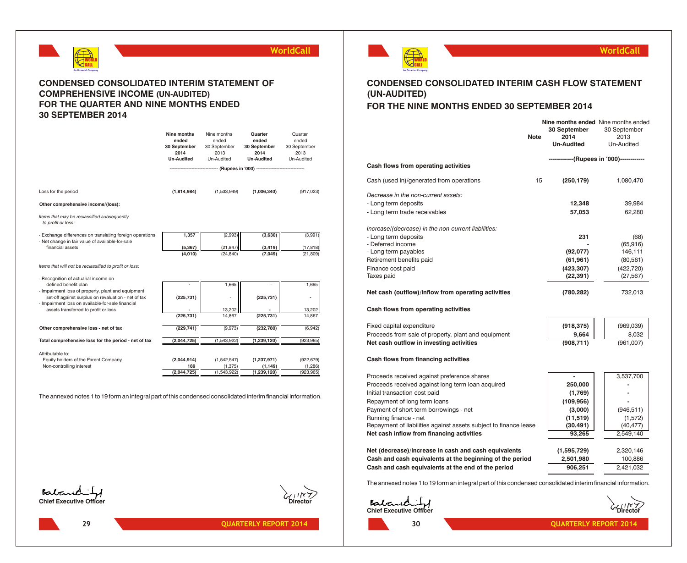

## **CONDENSED CONSOLIDATED INTERIM STATEMENT OF COMPREHENSIVE INCOME (UN-AUDITED) FOR THE QUARTER AND NINE MONTHS ENDED 30 SEPTEMBER 2014**

|                                                                                                              | Nine months<br>ended<br>30 September<br>2014<br><b>Un-Audited</b> | Nine months<br>ended<br>30 September<br>2013<br>Un-Audited | Quarter<br>ended<br>30 September<br>2014<br><b>Un-Audited</b>       | Quarter<br>ended<br>30 September<br>2013<br>Un-Audited |
|--------------------------------------------------------------------------------------------------------------|-------------------------------------------------------------------|------------------------------------------------------------|---------------------------------------------------------------------|--------------------------------------------------------|
|                                                                                                              |                                                                   |                                                            | ------------------ (Rupees in '000) ------------------------------- |                                                        |
|                                                                                                              |                                                                   |                                                            |                                                                     |                                                        |
| Loss for the period                                                                                          | (1,814,984)                                                       | (1,533,949)                                                | (1,006,340)                                                         | (917, 023)                                             |
| Other comprehensive income/(loss):                                                                           |                                                                   |                                                            |                                                                     |                                                        |
| Items that may be reclassified subsequently<br>to profit or loss:                                            |                                                                   |                                                            |                                                                     |                                                        |
| - Exchange differences on translating foreign operations<br>- Net change in fair value of available-for-sale | 1,357                                                             | (2,993)                                                    | (3,630)                                                             | (3,991)                                                |
| financial assets                                                                                             | (5, 367)                                                          | (21.847)                                                   | (3, 419)                                                            | (17, 818)                                              |
|                                                                                                              | (4,010)                                                           | (24, 840)                                                  | (7,049)                                                             | (21, 809)                                              |
| Items that will not be reclassified to profit or loss:                                                       |                                                                   |                                                            |                                                                     |                                                        |
| - Recognition of actuarial income on                                                                         |                                                                   |                                                            |                                                                     |                                                        |
| defined benefit plan<br>- Impairment loss of property, plant and equipment                                   |                                                                   | 1,665                                                      |                                                                     | 1,665                                                  |
| set-off against surplus on revaluation - net of tax<br>- Impairment loss on available-for-sale financial     | (225, 731)                                                        |                                                            | (225, 731)                                                          |                                                        |
| assets transferred to profit or loss                                                                         |                                                                   | 13,202                                                     |                                                                     | 13,202                                                 |
|                                                                                                              | (225, 731)                                                        | 14,867                                                     | (225, 731)                                                          | 14,867                                                 |
| Other comprehensive loss - net of tax                                                                        | (229, 741)                                                        | (9,973)                                                    | (232,780)                                                           | (6,942)                                                |
| Total comprehensive loss for the period - net of tax                                                         | (2,044,725)                                                       | (1,543,922)                                                | (1, 239, 120)                                                       | (923, 965)                                             |
| Attributable to:                                                                                             |                                                                   |                                                            |                                                                     |                                                        |
| Equity holders of the Parent Company                                                                         | (2,044,914)                                                       | (1,542,547)                                                | (1, 237, 971)                                                       | (922, 679)                                             |
| Non-controlling interest                                                                                     | 189                                                               | (1, 375)                                                   | (1, 149)                                                            | (1, 286)                                               |
|                                                                                                              | (2,044,725)                                                       | (1,543,922)                                                | (1, 239, 120)                                                       | (923, 965)                                             |

The annexed notes 1 to 19 form an integral part of this condensed consolidated interim financial information.





**29 CONSERVISHERLY REPORT 2014 CONSERVISHERLY REPORT 2014 30 CONSERVISHERLY REPORT 2014** 



## **WorldCall**

## **CONDENSED CONSOLIDATED INTERIM CASH FLOW STATEMENT (UN-AUDITED) FOR THE NINE MONTHS ENDED 30 SEPTEMBER 2014**

## **30 September** 30 September **Note 2014** 2013 **Un-Audited** Un-Audited  **------------(Rupees in '000)------------ Cash flows from operating activities** Cash (used in)/generated from operations 15 **(250,179)** 1,080,470 *Decrease in the non-current assets:* - Long term deposits **12,348** 39,984 - Long term trade receivables **57,053** 62,280 *Increase/(decrease) in the non-current liabilities:* - Long term deposits **231** (68) - Deferred income **-** (65,916) - Long term payables **(92,077)** 146,111 Retirement benefits paid **(61,961)** (80,561) (80,561) Finance cost paid **(423,307)** (422,720) Taxes paid **(22,391)** (27,567) **Net cash (outflow)/inflow from operating activities (780,282)** 732,013 **Cash flows from operating activities** Fixed capital expenditure **(918,375)** (969,039) Proceeds from sale of property, plant and equipment **9,664** | **9,032 Net cash outflow in investing activities (908,711)** (961,007) **Cash flows from financing activities** Proceeds received against preference shares **Fig. 1.2.3.537,700** Proceeds received against long term loan acquired **250,000** Initial transaction cost paid **and the cost paid of the cost paid of the cost paid of the cost paid of the cost paid of the cost paid of the cost paid of the cost paid of the cost paid of the cost paid of the cost paid of** Repayment of long term loans **and the set of the set of the set of 109,956) (109,956)** Payment of short term borrowings - net **(3,000)** (946,511) Running finance - net **(11,519)** (1,572) Repayment of liabilities against assets subject to finance lease  $(30,491)$  (40,477) **Net cash inflow from financing activities 93,265** 2,549,140 **Net (decrease)/increase in cash and cash equivalents (1,595,729)** 2,320,146 **Cash and cash equivalents at the beginning of the period 2,501,980** 100,886 **Nine months ended** Nine months ended

**Cash and cash equivalents at the end of the period**  $\overline{906,251}$  $\overline{2,421,032}$ 

The annexed notes 1 to 19 form an integral part of this condensed consolidated interim financial information.

**Chief Executive Officer Director**

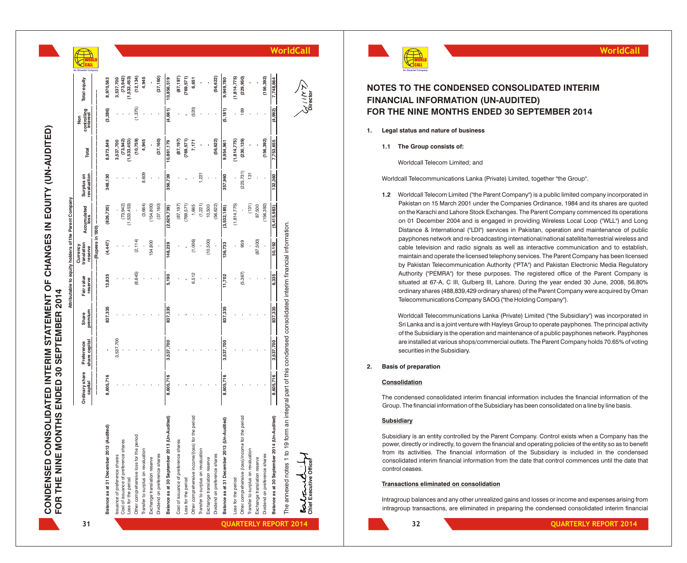CONDENSED CONSOLIDATED INTERIM STATEMENT OF CHANGES IN EQUITY (UN-AUDITED)<br>FOR THE NINE MONTHS ENDED 30 SEPTEMBER 2014 **CONDENSED CONSOLIDATED INTERIM STATEMENT OF CHANGES IN EQUITY (UN-AUDITED) FOR THE NINE MONTHS ENDED 30 SEPTEMBER 2014**

|                                          |                   |                      |                                             |                                       |                        |                                                               |                                 |                                |                                  |                     |                              |                                |                              |                         |                     |                                                               |                                 | <b>WorldCall</b>                                                                | <b>WorldCal</b>                                                                                                                                                                                                 |
|------------------------------------------|-------------------|----------------------|---------------------------------------------|---------------------------------------|------------------------|---------------------------------------------------------------|---------------------------------|--------------------------------|----------------------------------|---------------------|------------------------------|--------------------------------|------------------------------|-------------------------|---------------------|---------------------------------------------------------------|---------------------------------|---------------------------------------------------------------------------------|-----------------------------------------------------------------------------------------------------------------------------------------------------------------------------------------------------------------|
|                                          |                   |                      |                                             |                                       |                        |                                                               |                                 |                                |                                  |                     |                              |                                |                              |                         |                     |                                                               |                                 |                                                                                 |                                                                                                                                                                                                                 |
| Total equity                             |                   | 8,970,563            | $(73,942)$<br>$(1,533,453)$<br>3,537,700    | (12, 134)                             | 4,945                  | (37, 160)                                                     | 10,856,519                      |                                | $(87,197)$<br>(769,571)<br>6,651 |                     |                              | (56, 622)<br>9,949,780         | (1,814,775)                  | (229, 950)              |                     | (156, 392)                                                    | 748,664                         |                                                                                 | NOTES TO THE CONDENSED CONSOLIDATED INTERIM                                                                                                                                                                     |
|                                          |                   |                      |                                             |                                       |                        |                                                               |                                 |                                | (520)                            |                     |                              |                                |                              |                         |                     |                                                               |                                 |                                                                                 | <b>FINANCIAL INFORMATION (UN-AUDITED)</b><br>FOR THE NINE MONTHS ENDED 30 SEPTEMBER 2014                                                                                                                        |
| controlling<br>interest<br>$\frac{5}{2}$ |                   | (3, 286)             |                                             | (1,375)                               |                        |                                                               | (4,661)                         |                                |                                  |                     |                              | (5, 181)                       |                              |                         |                     |                                                               | 992)                            |                                                                                 |                                                                                                                                                                                                                 |
|                                          |                   |                      |                                             |                                       |                        |                                                               |                                 |                                |                                  |                     |                              |                                |                              |                         |                     |                                                               |                                 |                                                                                 | Legal status and nature of business<br>1.                                                                                                                                                                       |
| Total                                    |                   | 8,973,849            | 3,537,700                                   | $(73,942)$<br>(1,533,453)<br>(10,759) | 4,945                  | (37, 160)                                                     | 0,861,179                       | (87, 197)                      | 769,571)<br>7,171                |                     |                              | (56, 622)                      | (1,814,775)<br>9,954,961     | (230, 139)              |                     | (156, 392)                                                    |                                 |                                                                                 | 1.1 The Group consists of:                                                                                                                                                                                      |
|                                          |                   |                      |                                             |                                       |                        |                                                               |                                 |                                |                                  |                     |                              |                                |                              |                         |                     |                                                               |                                 |                                                                                 | Worldcall Telecom Limited; and                                                                                                                                                                                  |
| Surplus on<br>revaluation                |                   | 348,130              |                                             |                                       | 8,609                  |                                                               | 356,739                         |                                |                                  | 1,221               |                              | 357,960                        |                              | (225, 731)              | $\frac{5}{13}$      |                                                               |                                 |                                                                                 | Worldcall Telecommunications Lanka (Private) Limited, together "the Group".                                                                                                                                     |
|                                          |                   |                      |                                             |                                       |                        |                                                               |                                 |                                |                                  |                     |                              |                                |                              |                         |                     |                                                               |                                 |                                                                                 | 1.2 Worldcall Telecom Limited ("the Parent Company") is a public limited company incorporate<br>Pakistan on 15 March 2001 under the Companies Ordinance, 1984 and its shares are que                            |
|                                          |                   | (826, 720)           | $(73,942)$<br>$(1,533,453)$                 |                                       | $(3,664)$<br>(154,800) | (37, 160)                                                     | (2,629,739)                     |                                | (87,197)<br>(769,571)<br>1,665   |                     | $(1,221)$<br>10,500          | (56, 622)                      | (1, 814, 775)<br>(3,532,185) |                         |                     | $(131)$<br>$87,500$<br>$(156,392)$                            | 5,415,983                       |                                                                                 | on the Karachi and Lahore Stock Exchanges. The Parent Company commenced its operat                                                                                                                              |
| Accumulated<br>loss                      |                   |                      |                                             |                                       |                        |                                                               |                                 |                                |                                  |                     |                              |                                |                              |                         |                     |                                                               |                                 |                                                                                 | on 01 December 2004 and is engaged in providing Wireless Local Loop ("WLL") and L<br>Distance & International ("LDI") services in Pakistan, operation and maintenance of pun                                    |
|                                          | (DOO, ul seedng)- | (4,447)              |                                             | (2, 114)                              |                        | 154,800                                                       |                                 |                                | (1,006)                          |                     | (10,500)                     |                                |                              | 959                     |                     | (87,500)                                                      |                                 |                                                                                 | payphones network and re-broadcasting international/national satellite/terrestrial wireless<br>cable television and radio signals as well as interactive communication and to estab                             |
| Currency<br>translation<br>squity holde  |                   |                      |                                             |                                       |                        |                                                               | 148,239                         |                                |                                  |                     |                              | 136,733                        |                              |                         |                     |                                                               | 50,192                          |                                                                                 | maintain and operate the licensed telephony services. The Parent Company has been licer                                                                                                                         |
|                                          |                   |                      |                                             |                                       |                        |                                                               |                                 |                                |                                  |                     |                              |                                |                              |                         |                     |                                                               |                                 |                                                                                 | by Pakistan Telecommunication Authority ("PTA") and Pakistan Electronic Media Regula<br>Authority ("PEMRA") for these purposes. The registered office of the Parent Compar                                      |
| Fair value<br>reserve                    |                   | 13,835               |                                             | (8,645)                               |                        |                                                               | 5,190                           |                                | 6,512                            |                     |                              | 11,702                         |                              | (5, 367)                |                     |                                                               |                                 |                                                                                 | situated at 67-A, C III, Gulberg III, Lahore. During the year ended 30 June, 2008, 56.                                                                                                                          |
| Attributable                             |                   |                      |                                             |                                       |                        |                                                               |                                 |                                |                                  |                     |                              |                                |                              |                         |                     |                                                               |                                 |                                                                                 | ordinary shares (488,839,429 ordinary shares) of the Parent Company were acquired by O<br>Telecommunications Company SAOG ("the Holding Company").                                                              |
| Share<br>premium                         |                   | 837,335              |                                             |                                       |                        |                                                               |                                 |                                |                                  |                     |                              |                                | 837,335                      |                         |                     |                                                               |                                 |                                                                                 | Worldcall Telecommunications Lanka (Private) Limited ("the Subsidiary") was incorporate                                                                                                                         |
|                                          |                   |                      |                                             |                                       |                        |                                                               |                                 |                                |                                  |                     |                              |                                |                              |                         |                     |                                                               |                                 |                                                                                 | Sri Lanka and is a joint venture with Hayleys Group to operate payphones. The principal act<br>of the Subsidiary is the operation and maintenance of a public payphones network. Paypho                         |
|                                          |                   |                      | 3,537,700                                   |                                       |                        |                                                               |                                 |                                |                                  |                     |                              |                                |                              |                         |                     |                                                               |                                 |                                                                                 | are installed at various shops/commercial outlets. The Parent Company holds 70.65% of vo                                                                                                                        |
| Preference<br>share capital              |                   |                      |                                             |                                       |                        |                                                               |                                 |                                |                                  |                     |                              | 3,537,700                      |                              |                         |                     |                                                               |                                 |                                                                                 | securities in the Subsidiary.                                                                                                                                                                                   |
|                                          |                   |                      |                                             |                                       |                        |                                                               |                                 |                                |                                  |                     |                              |                                |                              |                         |                     |                                                               |                                 |                                                                                 | <b>Basis of preparation</b><br>2.                                                                                                                                                                               |
| Ordinary share<br>capital                |                   | 8,605,716            |                                             |                                       |                        |                                                               | 8,605,                          |                                |                                  |                     |                              | 8,605,716                      |                              |                         |                     |                                                               |                                 |                                                                                 | Consolidation                                                                                                                                                                                                   |
|                                          |                   |                      |                                             |                                       |                        |                                                               |                                 |                                |                                  |                     |                              |                                |                              |                         |                     |                                                               |                                 |                                                                                 | The condensed consolidated interim financial information includes the financial information of<br>Group. The financial information of the Subsidiary has been consolidated on a line by line basis.             |
|                                          |                   |                      |                                             |                                       |                        |                                                               |                                 |                                | period                           |                     |                              |                                |                              | period                  |                     |                                                               |                                 | m an integral part of this condensed consolidated interim financial information | Subsidiary                                                                                                                                                                                                      |
|                                          |                   | ි.                   |                                             |                                       |                        |                                                               | <b>Audited</b> )                |                                |                                  |                     |                              | udited)                        |                              |                         |                     |                                                               | Audited)                        |                                                                                 | Subsidiary is an entity controlled by the Parent Company. Control exists when a Company has                                                                                                                     |
|                                          |                   |                      | shares                                      |                                       |                        |                                                               | A-iU)                           | shar                           | 흐                                |                     |                              | A-4U)                          |                              |                         |                     |                                                               | ś                               | 19 forr                                                                         | power, directly or indirectly, to govern the financial and operating policies of the entity so as to be                                                                                                         |
|                                          |                   | December 2012 (Audit | preference                                  | Other comprehensive loss for the      | revaluation            |                                                               | Balance as at 30 September 2013 |                                | Other comprehensive income/(los  | revaluation         |                              | Balance as at 31 December 2013 |                              |                         | revaluation         |                                                               | Balance as at 30 September 2014 | The annexed notes 1 to                                                          | from its activities. The financial information of the Subsidiary is included in the conder<br>consolidated interim financial information from the date that control commences until the date<br>control ceases. |
|                                          |                   |                      | prefer                                      |                                       | Transfer to surplus on | Dividend on preference shares<br>Exchange translation reserve |                                 | Cost of issuance of preference |                                  | δ                   | Exchange translation reserve | Dividend on preference shares  |                              | comprehensive (loss)/in | 5                   | Dividend on preference shares<br>Exchange translation reserve |                                 | <b>Bolcond</b>                                                                  | Transactions eliminated on consolidation                                                                                                                                                                        |
|                                          |                   | as at 31             | : of issuance ot  <br>s for the period<br>৳ |                                       |                        |                                                               |                                 |                                | for the period                   | Transfer to surplus |                              |                                |                              | Loss for the period     | Transfer to surplus |                                                               |                                 |                                                                                 | Intragroup balances and any other unrealized gains and losses or income and expenses arising t                                                                                                                  |
|                                          |                   | Balance              |                                             |                                       |                        |                                                               |                                 |                                | Loss <sup>-</sup>                |                     |                              |                                |                              | Other                   |                     |                                                               |                                 |                                                                                 | intragroup transactions, are eliminated in preparing the condensed consolidated interim finar                                                                                                                   |
| 31                                       |                   |                      |                                             |                                       |                        |                                                               |                                 |                                |                                  |                     |                              |                                |                              |                         |                     |                                                               |                                 | <b>OUARTERLY REPORT 2014</b>                                                    | 32<br><b>QUARTERLY REPORT 2014</b>                                                                                                                                                                              |

## **NOTES TO THE CONDENSED CONSOLIDATED INTERIM FINANCIAL INFORMATION (UN-AUDITED) FOR THE NINE MONTHS ENDED 30 SEPTEMBER 2014**

#### **1. Legal status and nature of business**

Worldcall Telecommunications Lanka (Private) Limited ("the Subsidiary") was incorporated in Sri Lanka and is a joint venture with Hayleys Group to operate payphones. The principal activity of the Subsidiary is the operation and maintenance of a public payphones network. Payphones are installed at various shops/commercial outlets. The Parent Company holds 70.65% of voting securities in the Subsidiary .

#### **2. Basis of preparation**

#### **Consolidation**

#### **Subsidiary**

#### **Transactions eliminated on consolidation**

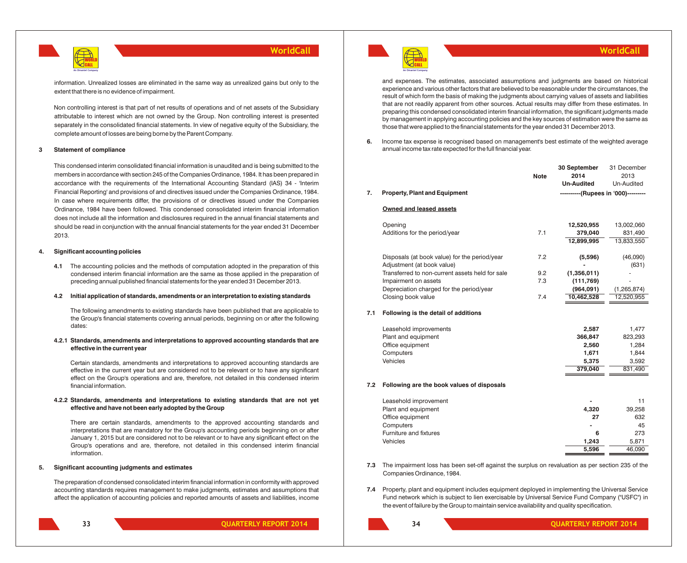

information. Unrealized losses are eliminated in the same way as unrealized gains but only to the extent that there is no evidence of impairment.

Non controlling interest is that part of net results of operations and of net assets of the Subsidiary attributable to interest which are not owned by the Group. Non controlling interest is presented separately in the consolidated financial statements. In view of negative equity of the Subsidiary, the complete amount of losses are being borne by the Parent Company.

#### **3 Statement of compliance**

This condensed interim consolidated financial information is unaudited and is being submitted to the members in accordance with section 245 of the Companies Ordinance, 1984. It has been prepared in accordance with the requirements of the International Accounting Standard (IAS) 34 - 'Interim Financial Reporting' and provisions of and directives issued under the Companies Ordinance, 1984. In case where requirements differ, the provisions of or directives issued under the Companies Ordinance, 1984 have been followed. This condensed consolidated interim financial information does not include all the information and disclosures required in the annual financial statements and should be read in conjunction with the annual financial statements for the year ended 31 December 2013.

#### **4. Significant accounting policies**

**4.1** The accounting policies and the methods of computation adopted in the preparation of this condensed interim financial information are the same as those applied in the preparation of preceding annual published financial statements for the year ended 31 December 2013.

#### **4.2 Initial application of standards, amendments or an interpretation to existing standards**

The following amendments to existing standards have been published that are applicable to the Group's financial statements covering annual periods, beginning on or after the following dates:

#### **4.2.1 Standards, amendments and interpretations to approved accounting standards that are effective in the current year**

Certain standards, amendments and interpretations to approved accounting standards are effective in the current year but are considered not to be relevant or to have any significant effect on the Group's operations and are, therefore, not detailed in this condensed interim financial information.

#### **4.2.2 Standards, amendments and interpretations to existing standards that are not yet effective and have not been early adopted by the Group**

There are certain standards, amendments to the approved accounting standards and interpretations that are mandatory for the Group's accounting periods beginning on or after January 1, 2015 but are considered not to be relevant or to have any significant effect on the Group's operations and are, therefore, not detailed in this condensed interim financial information.

#### **5. Significant accounting judgments and estimates**

The preparation of condensed consolidated interim financial information in conformity with approved accounting standards requires management to make judgments, estimates and assumptions that affect the application of accounting policies and reported amounts of assets and liabilities, income



**33**

**QUARTERLY REPORT 2014 QUARTERLY REPORT 2014**



and expenses. The estimates, associated assumptions and judgments are based on historical experience and various other factors that are believed to be reasonable under the circumstances, the result of which form the basis of making the judgments about carrying values of assets and liabilities that are not readily apparent from other sources. Actual results may differ from these estimates. In preparing this condensed consolidated interim financial information, the significant judgments made by management in applying accounting policies and the key sources of estimation were the same as those that were applied to the financial statements for the year ended 31 December 2013.

**6.** Income tax expense is recognised based on management's best estimate of the weighted average annual income tax rate expected for the full financial year.

|     |                                                 | <b>Note</b> | 30 September<br>2014                | 31 December<br>2013 |
|-----|-------------------------------------------------|-------------|-------------------------------------|---------------------|
|     |                                                 |             | <b>Un-Audited</b>                   | Un-Audited          |
| 7.  | <b>Property, Plant and Equipment</b>            |             | ----------(Rupees in '000)--------- |                     |
|     | Owned and leased assets                         |             |                                     |                     |
|     | Opening                                         |             | 12,520,955                          | 13,002,060          |
|     | Additions for the period/year                   | 7.1         | 379,040                             | 831,490             |
|     |                                                 |             | 12,899,995                          | 13,833,550          |
|     | Disposals (at book value) for the period/year   | 7.2         | (5,596)                             | (46,090)            |
|     | Adjustment (at book value)                      |             |                                     | (631)               |
|     | Transferred to non-current assets held for sale | 9.2         | (1,356,011)                         |                     |
|     | Impairment on assets                            | 7.3         | (111, 769)                          |                     |
|     | Depreciation charged for the period/year        |             | (964,091)                           | (1, 265, 874)       |
|     | Closing book value                              | 7.4         | 10,462,528                          | 12,520,955          |
| 7.1 | Following is the detail of additions            |             |                                     |                     |
|     | Leasehold improvements                          |             | 2,587                               | 1,477               |
|     | Plant and equipment                             |             | 366,847                             | 823,293             |
|     | Office equipment                                |             | 2,560                               | 1,284               |
|     | Computers                                       |             | 1,671                               | 1,844               |
|     | Vehicles                                        |             | 5,375                               | 3,592               |
|     |                                                 |             | 379,040                             | 831,490             |
| 7.2 | Following are the book values of disposals      |             |                                     |                     |
|     | Leasehold improvement                           |             |                                     | 11                  |
|     | Plant and equipment                             |             | 4,320                               | 39,258              |
|     | Office equipment                                |             | 27                                  | 632                 |
|     | Computers                                       |             |                                     | 45                  |
|     | Furniture and fixtures                          |             | 6                                   | 273                 |

**7.3** The impairment loss has been set-off against the surplus on revaluation as per section 235 of the Companies Ordinance, 1984.

Vehicles **1,243** 5,871

**7.4** Property, plant and equipment includes equipment deployed in implementing the Universal Service Fund network which is subject to lien exercisable by Universal Service Fund Company ("USFC") in the event of failure by the Group to maintain service availability and quality specification.

**34**

**5,596** 46,090

**WorldCall**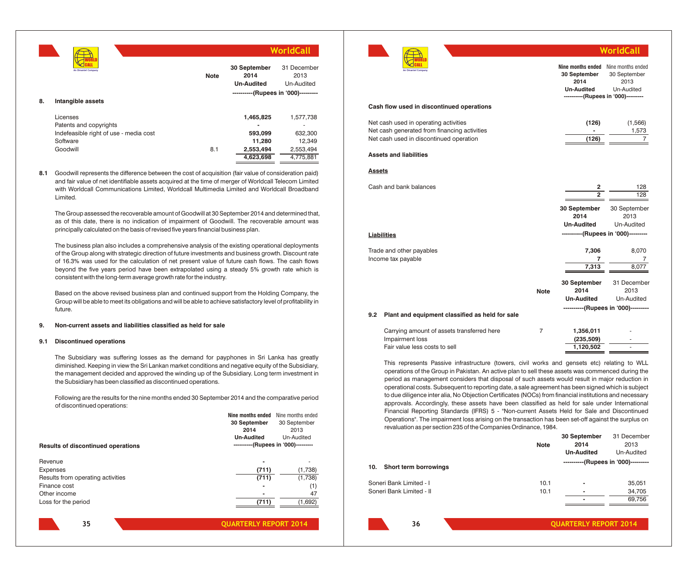|    |                                                                                                      |             |                                                          | WorldCall                                                |
|----|------------------------------------------------------------------------------------------------------|-------------|----------------------------------------------------------|----------------------------------------------------------|
|    | An Omantel Company                                                                                   | <b>Note</b> | 30 September<br>2014<br><b>Un-Audited</b>                | 31 December<br>2013<br>Un-Audited                        |
| 8. | Intangible assets                                                                                    |             | ----------(Rupees in '000)---------                      |                                                          |
|    | Licenses<br>Patents and copyrights<br>Indefeasible right of use - media cost<br>Software<br>Goodwill | 8.1         | 1,465,825<br>593,099<br>11,280<br>2,553,494<br>4,623,698 | 1,577,738<br>632,300<br>12,349<br>2,553,494<br>4,775,881 |

**8.1** Goodwill represents the difference between the cost of acquisition (fair value of consideration paid) and fair value of net identifiable assets acquired at the time of merger of Worldcall Telecom Limited with Worldcall Communications Limited, Worldcall Multimedia Limited and Worldcall Broadband Limited.

The Group assessed the recoverable amount of Goodwill at 30 September 2014 and determined that, as of this date, there is no indication of impairment of Goodwill. The recoverable amount was principally calculated on the basis of revised five years financial business plan.

The business plan also includes a comprehensive analysis of the existing operational deployments of the Group along with strategic direction of future investments and business growth. Discount rate of 16.3% was used for the calculation of net present value of future cash flows. The cash flows beyond the five years period have been extrapolated using a steady 5% growth rate which is consistent with the long-term average growth rate for the industry.

Based on the above revised business plan and continued support from the Holding Company, the Group will be able to meet its obligations and will be able to achieve satisfactory level of profitability in future.

#### **9. Non-current assets and liabilities classified as held for sale**

#### **9.1 Discontinued operations**

The Subsidiary was suffering losses as the demand for payphones in Sri Lanka has greatly diminished. Keeping in view the Sri Lankan market conditions and negative equity of the Subsidiary, the management decided and approved the winding up of the Subsidiary. Long term investment in the Subsidiary has been classified as discontinued operations.

Following are the results for the nine months ended 30 September 2014 and the comparative period of discontinued operations:

|                                           | Nine months ended | Nine months ended                   |
|-------------------------------------------|-------------------|-------------------------------------|
|                                           | 30 September      | 30 September                        |
|                                           | 2014              | 2013                                |
|                                           | <b>Un-Audited</b> | Un-Audited                          |
| <b>Results of discontinued operations</b> |                   | ----------(Rupees in '000)--------- |
|                                           |                   |                                     |
| Revenue                                   |                   |                                     |
| <b>Expenses</b>                           | (711)             | (1,738)                             |
| Results from operating activities         | (711)             | (1,738)                             |
| Finance cost                              |                   | (1)                                 |
| Other income                              |                   | 47                                  |
| Loss for the period                       | (711)             | (1,692)                             |
|                                           |                   |                                     |



| <b>80 September</b><br>2014<br><b>Un-Audited</b>                | 31 December<br>2013<br>Un-Audited<br>--(Rupees in '000)--------- |               |                                                 |             | Nine months ended<br>30 September<br>2014<br><b>Un-Audited</b><br>----------(Rupees in '000)--------- | Nine months ended<br>30 September<br>2013<br>Un-Audited |
|-----------------------------------------------------------------|------------------------------------------------------------------|---------------|-------------------------------------------------|-------------|-------------------------------------------------------------------------------------------------------|---------------------------------------------------------|
|                                                                 |                                                                  |               | Cash flow used in discontinued operations       |             |                                                                                                       |                                                         |
| 1,465,825                                                       | 1,577,738                                                        |               | Net cash used in operating activities           |             | (126)                                                                                                 | (1, 566)                                                |
|                                                                 |                                                                  |               | Net cash generated from financing activities    |             |                                                                                                       | 1,573                                                   |
| 593,099                                                         | 632,300                                                          |               | Net cash used in discontinued operation         |             | (126)                                                                                                 | $\overline{7}$                                          |
| 11,280                                                          | 12,349                                                           |               |                                                 |             |                                                                                                       |                                                         |
| 2,553,494<br>4,623,698                                          | 2,553,494<br>4,775,881                                           |               | <b>Assets and liabilities</b>                   |             |                                                                                                       |                                                         |
| (fair value of consideration paid)                              |                                                                  | <b>Assets</b> |                                                 |             |                                                                                                       |                                                         |
| ger of Worldcall Telecom Limited                                |                                                                  |               | Cash and bank balances                          |             |                                                                                                       |                                                         |
| nited and Worldcall Broadband                                   |                                                                  |               |                                                 |             | 2<br>$\overline{2}$                                                                                   | 128<br>128                                              |
|                                                                 |                                                                  |               |                                                 |             |                                                                                                       |                                                         |
| ember 2014 and determined that,                                 |                                                                  |               |                                                 |             | 30 September                                                                                          | 30 September                                            |
| . The recoverable amount was                                    |                                                                  |               |                                                 |             | 2014                                                                                                  | 2013                                                    |
| ness plan.                                                      |                                                                  |               |                                                 |             | <b>Un-Audited</b>                                                                                     | Un-Audited                                              |
|                                                                 |                                                                  |               | <b>Liabilities</b>                              |             |                                                                                                       | ----------(Rupees in '000)---------                     |
| xisting operational deployments                                 |                                                                  |               | Trade and other payables                        |             | 7,306                                                                                                 | 8,070                                                   |
| d business growth. Discount rate                                |                                                                  |               | Income tax payable                              |             | 7                                                                                                     | $\sqrt{2}$                                              |
| ure cash flows. The cash flows<br>teady 5% growth rate which is |                                                                  |               |                                                 |             | 7,313                                                                                                 | 8,077                                                   |
|                                                                 |                                                                  |               |                                                 |             |                                                                                                       | 31 December                                             |
|                                                                 |                                                                  |               |                                                 | <b>Note</b> | 30 September<br>2014                                                                                  | 2013                                                    |
| from the Holding Company, the                                   |                                                                  |               |                                                 |             | <b>Un-Audited</b>                                                                                     | Un-Audited                                              |
| satisfactory level of profitability in                          |                                                                  |               |                                                 |             |                                                                                                       | ----------(Rupees in '000)---------                     |
|                                                                 |                                                                  | 9.2           | Plant and equipment classified as held for sale |             |                                                                                                       |                                                         |
|                                                                 |                                                                  |               | Carrying amount of assets transferred here      | 7           | 1,356,011                                                                                             |                                                         |
|                                                                 |                                                                  |               | Impairment loss                                 |             | (235, 509)                                                                                            |                                                         |
|                                                                 |                                                                  |               | Fair value less costs to sell                   |             | 1,120,502                                                                                             |                                                         |

This represents Passive infrastructure (towers, civil works and gensets etc) relating to WLL operations of the Group in Pakistan. An active plan to sell these assets was commenced during the period as management considers that disposal of such assets would result in major reduction in operational costs. Subsequent to reporting date, a sale agreement has been signed which is subject to due diligence inter alia, No Objection Certificates (NOCs) from financial institutions and necessary approvals. Accordingly, these assets have been classified as held for sale under International Financial Reporting Standards (IFRS) 5 - "Non-current Assets Held for Sale and Discontinued Operations". The impairment loss arising on the transaction has been set-off against the surplus on revaluation as per section 235 of the Companies Ordinance, 1984.

|                              |             | 30 September                        | 31 December |
|------------------------------|-------------|-------------------------------------|-------------|
|                              | <b>Note</b> | 2014                                | 2013        |
|                              |             | <b>Un-Audited</b>                   | Un-Audited  |
| Short term borrowings<br>10. |             | ----------(Rupees in '000)--------- |             |
| Soneri Bank Limited - I      | 10.1        |                                     | 35,051      |
| Soneri Bank Limited - II     | 10.1        |                                     | 34,705      |
|                              |             |                                     | 69,756      |
|                              |             |                                     |             |

**35**

**WorldCall**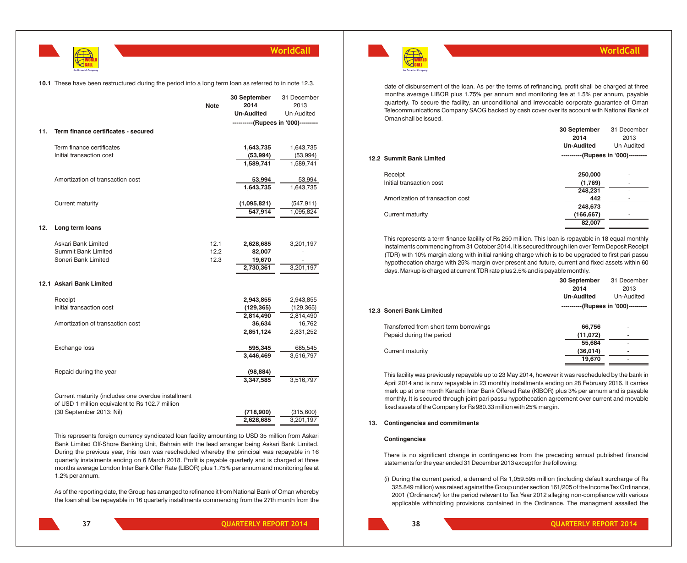

#### **10.1** These have been restructured during the period into a long term loan as referred to in note 12.3.

|     |                                                                                                       | <b>Note</b> | 30 September<br>2014<br><b>Un-Audited</b><br>----------(Rupees in '000)--------- | 31 December<br>2013<br>Un-Audited |
|-----|-------------------------------------------------------------------------------------------------------|-------------|----------------------------------------------------------------------------------|-----------------------------------|
| 11. | Term finance certificates - secured                                                                   |             |                                                                                  |                                   |
|     | Term finance certificates                                                                             |             | 1,643,735                                                                        | 1,643,735                         |
|     | Initial transaction cost                                                                              |             | (53, 994)                                                                        | (53, 994)                         |
|     |                                                                                                       |             | 1,589,741                                                                        | 1,589,741                         |
|     | Amortization of transaction cost                                                                      |             | 53,994                                                                           | 53,994                            |
|     |                                                                                                       |             | 1,643,735                                                                        | 1,643,735                         |
|     | Current maturity                                                                                      |             | (1,095,821)                                                                      | (547, 911)                        |
|     |                                                                                                       |             | 547,914                                                                          | 1,095,824                         |
| 12. | Long term loans                                                                                       |             |                                                                                  |                                   |
|     | Askari Bank Limited                                                                                   | 12.1        | 2,628,685                                                                        | 3,201,197                         |
|     | Summit Bank Limited                                                                                   | 12.2        | 82,007                                                                           |                                   |
|     | Soneri Bank Limited                                                                                   | 12.3        | 19,670                                                                           |                                   |
|     |                                                                                                       |             | 2,730,361                                                                        | 3,201,197                         |
|     | 12.1 Askari Bank Limited                                                                              |             |                                                                                  |                                   |
|     | Receipt                                                                                               |             | 2,943,855                                                                        | 2,943,855                         |
|     | Initial transaction cost                                                                              |             | (129, 365)                                                                       | (129, 365)                        |
|     |                                                                                                       |             | 2,814,490                                                                        | 2,814,490                         |
|     | Amortization of transaction cost                                                                      |             | 36,634                                                                           | 16,762                            |
|     |                                                                                                       |             | 2,851,124                                                                        | 2,831,252                         |
|     | Exchange loss                                                                                         |             | 595,345                                                                          | 685,545                           |
|     |                                                                                                       |             | 3,446,469                                                                        | 3,516,797                         |
|     | Repaid during the year                                                                                |             | (98, 884)                                                                        |                                   |
|     |                                                                                                       |             | 3,347,585                                                                        | 3,516,797                         |
|     | Current maturity (includes one overdue installment<br>of USD 1 million equivalent to Rs 102.7 million |             |                                                                                  |                                   |
|     | (30 September 2013: Nil)                                                                              |             | (718,900)                                                                        | (315,600)                         |
|     |                                                                                                       |             | 2,628,685                                                                        | 3,201,197                         |

This represents foreign currency syndicated loan facility amounting to USD 35 million from Askari Bank Limited Off-Shore Banking Unit, Bahrain with the lead arranger being Askari Bank Limited. During the previous year, this loan was rescheduled whereby the principal was repayable in 16 quarterly instalments ending on 6 March 2018. Profit is payable quarterly and is charged at three months average London Inter Bank Offer Rate (LIBOR) plus 1.75% per annum and monitoring fee at 1.2% per annum.

As of the reporting date, the Group has arranged to refinance it from National Bank of Oman whereby the loan shall be repayable in 16 quarterly installments commencing from the 27th month from the



date of disbursement of the loan. As per the terms of refinancing, profit shall be charged at three months average LIBOR plus 1.75% per annum and monitoring fee at 1.5% per annum, payable quarterly. To secure the facility, an unconditional and irrevocable corporate guarantee of Oman Telecommunications Company SAOG backed by cash cover over its account with National Bank of Oman shall be issued.

**WorldCall**

|                                  | 30 September                        | 31 December |
|----------------------------------|-------------------------------------|-------------|
|                                  | 2014                                | 2013        |
|                                  | <b>Un-Audited</b>                   | Un-Audited  |
| 12.2 Summit Bank Limited         | ----------(Rupees in '000)--------- |             |
| Receipt                          | 250,000                             | ۰           |
| Initial transaction cost         | (1,769)                             | ۰           |
|                                  | 248,231                             |             |
| Amortization of transaction cost | 442                                 |             |
|                                  | 248,673                             |             |
| Current maturity                 | (166, 667)                          | ۰           |
|                                  | 82,007                              | ۰           |

This represents a term finance facility of Rs 250 million. This loan is repayable in 18 equal monthly instalments commencing from 31 October 2014. It is secured through lien over Term Deposit Receipt (TDR) with 10% margin along with initial ranking charge which is to be upgraded to first pari passu hypothecation charge with 25% margin over present and future, current and fixed assets within 60 days. Markup is charged at current TDR rate plus 2.5% and is payable monthly.

|                                        | 30 September<br>2014<br><b>Un-Audited</b> | 31 December<br>2013<br>Un-Audited |
|----------------------------------------|-------------------------------------------|-----------------------------------|
| 12.3 Soneri Bank Limited               | ----------(Rupees in '000)---------       |                                   |
| Transferred from short term borrowings | 66,756                                    |                                   |
| Pepaid during the period               | (11,072)                                  | $\overline{\phantom{a}}$          |
|                                        | 55,684                                    | $\overline{\phantom{a}}$          |
| Current maturity                       | (36,014)                                  |                                   |
|                                        | 19,670                                    |                                   |
|                                        |                                           |                                   |

This facility was previously repayable up to 23 May 2014, however it was rescheduled by the bank in April 2014 and is now repayable in 23 monthly installments ending on 28 February 2016. It carries mark up at one month Karachi Inter Bank Offered Rate (KIBOR) plus 3% per annum and is payable monthly. It is secured through joint pari passu hypothecation agreement over current and movable fixed assets of the Company for Rs 980.33 million with 25% margin.

#### **13. Contingencies and commitments**

#### **Contingencies**

There is no significant change in contingencies from the preceding annual published financial statements for the year ended 31 December 2013 except for the following:

(i) During the current period, a demand of Rs 1,059.595 million (including default surcharge of Rs 325.849 million) was raised against the Group under section 161/205 of the Income Tax Ordinance, 2001 ('Ordinance') for the period relevant to Tax Year 2012 alleging non-compliance with various applicable withholding provisions contained in the Ordinance. The managment assailed the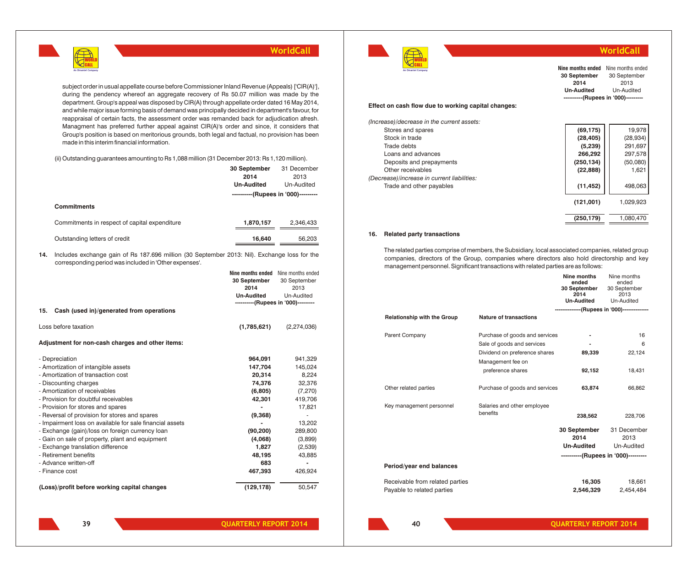

subject order in usual appellate course before Commissioner Inland Revenue (Appeals) ['CIR(A)'], during the pendency whereof an aggregate recovery of Rs 50.07 million was made by the department. Group's appeal was disposed by CIR(A) through appellate order dated 16 May 2014, and while major issue forming basis of demand was principally decided in department's favour, for reappraisal of certain facts, the assessment order was remanded back for adjudication afresh. Managment has preferred further appeal against CIR(A)'s order and since, it considers that Group's position is based on meritorious grounds, both legal and factual, no provision has been made in this interim financial information.

(ii)Outstanding guarantees amounting to Rs 1,088 million (31 December 2013: Rs 1,120 million).

|     |                                                                                                                                                        | 30 September                        | 31 December                         |
|-----|--------------------------------------------------------------------------------------------------------------------------------------------------------|-------------------------------------|-------------------------------------|
|     |                                                                                                                                                        | 2014                                | 2013                                |
|     |                                                                                                                                                        | <b>Un-Audited</b>                   | Un-Audited                          |
|     |                                                                                                                                                        |                                     | ----------(Rupees in '000)--------- |
|     | <b>Commitments</b>                                                                                                                                     |                                     |                                     |
|     |                                                                                                                                                        |                                     |                                     |
|     | Commitments in respect of capital expenditure                                                                                                          | 1,870,157                           | 2,346,433                           |
|     |                                                                                                                                                        |                                     |                                     |
|     | Outstanding letters of credit                                                                                                                          | 16,640                              | 56,203                              |
|     |                                                                                                                                                        |                                     |                                     |
| 14. | Includes exchange gain of Rs 187.696 million (30 September 2013: Nil). Exchange loss for the<br>corresponding period was included in 'Other expenses'. |                                     |                                     |
|     |                                                                                                                                                        | Nine months ended Nine months ended |                                     |
|     |                                                                                                                                                        | 30 September                        | 30 September                        |
|     |                                                                                                                                                        | 2014                                | 2013                                |
|     |                                                                                                                                                        | <b>Un-Audited</b>                   | Un-Audited                          |
|     |                                                                                                                                                        |                                     | ----------(Rupees in '000)--------- |
| 15. | Cash (used in)/generated from operations                                                                                                               |                                     |                                     |
|     | Loss before taxation                                                                                                                                   | (1,785,621)                         | (2,274,036)                         |
|     | Adjustment for non-cash charges and other items:                                                                                                       |                                     |                                     |
|     | - Depreciation                                                                                                                                         | 964,091                             | 941,329                             |
|     | - Amortization of intangible assets                                                                                                                    | 147,704                             | 145,024                             |
|     | - Amortization of transaction cost                                                                                                                     | 20,314                              | 8,224                               |
|     | - Discounting charges                                                                                                                                  | 74,376                              | 32,376                              |
|     | - Amortization of receivables                                                                                                                          | (6,805)                             | (7, 270)                            |
|     | - Provision for doubtful receivables                                                                                                                   | 42,301                              | 419,706                             |
|     | - Provision for stores and spares                                                                                                                      |                                     | 17,821                              |
|     | - Reversal of provision for stores and spares                                                                                                          | (9,368)                             | ÷,                                  |
|     | - Impairment loss on available for sale financial assets                                                                                               |                                     | 13,202                              |
|     | - Exchange (gain)/loss on foreign currency loan                                                                                                        | (90, 200)                           | 289,800                             |
|     | - Gain on sale of property, plant and equipment                                                                                                        | (4,068)                             | (3,899)                             |
|     | - Exchange translation difference                                                                                                                      | 1,827                               | (2,539)                             |
|     | - Retirement benefits                                                                                                                                  | 48,195                              | 43,885                              |
|     | - Advance written-off                                                                                                                                  | 683                                 |                                     |
|     | - Finance cost                                                                                                                                         | 467,393                             | 426,924                             |
|     | (Loss)/profit before working capital changes                                                                                                           | (129, 178)                          | 50,547                              |
|     |                                                                                                                                                        |                                     |                                     |



## **WorldCall**

**(250,179)** 1,080,470

| --<br>An Omantel Company                            | Nine months ended<br>30 September<br>2014<br><b>Un-Audited</b> | Nine months ended<br>30 September<br>2013<br>Un-Audited |
|-----------------------------------------------------|----------------------------------------------------------------|---------------------------------------------------------|
| Effect on cash flow due to working capital changes: |                                                                | ----------(Rupees in '000)----------                    |
| (Increase)/decrease in the current assets:          |                                                                |                                                         |
| Stores and spares                                   | (69, 175)                                                      | 19,978                                                  |
| Stock in trade                                      | (28, 405)                                                      | (28, 934)                                               |
| Trade debts                                         | (5,239)                                                        | 291,697                                                 |
| Loans and advances                                  | 266,292                                                        | 297,578                                                 |
| Deposits and prepayments                            | (250, 134)                                                     | (50,080)                                                |
| Other receivables                                   | (22, 888)                                                      | 1,621                                                   |
| (Decrease)/increase in current liabilities:         |                                                                |                                                         |
| Trade and other payables                            | (11, 452)                                                      | 498,063                                                 |
|                                                     | (121,001)                                                      | 1,029,923                                               |

#### **16. Related party transactions**

The related parties comprise of members, the Subsidiary, local associated companies, related group companies, directors of the Group, companies where directors also hold directorship and key management personnel. Significant transactions with related parties are as follows:

|                                                               |                                                                                                                                         | Nine months<br>ended<br>30 September<br>2014<br><b>Un-Audited</b><br>--------------(Rupees in '000)--------------- | Nine months<br>ended<br>30 September<br>2013<br>Un-Audited |
|---------------------------------------------------------------|-----------------------------------------------------------------------------------------------------------------------------------------|--------------------------------------------------------------------------------------------------------------------|------------------------------------------------------------|
| <b>Relationship with the Group</b>                            | <b>Nature of transactions</b>                                                                                                           |                                                                                                                    |                                                            |
| Parent Company                                                | Purchase of goods and services<br>Sale of goods and services<br>Dividend on preference shares<br>Management fee on<br>preference shares | 89,339<br>92,152                                                                                                   | 16<br>6<br>22,124<br>18,431                                |
| Other related parties                                         | Purchase of goods and services                                                                                                          | 63,874                                                                                                             | 66,862                                                     |
| Key management personnel                                      | Salaries and other employee<br>benefits                                                                                                 | 238,562                                                                                                            | 228,706                                                    |
|                                                               |                                                                                                                                         | 30 September<br>2014<br><b>Un-Audited</b><br>----------(Rupees in '000)---------                                   | 31 December<br>2013<br>Un-Audited                          |
| Period/year end balances                                      |                                                                                                                                         |                                                                                                                    |                                                            |
| Receivable from related parties<br>Payable to related parties |                                                                                                                                         | 16,305<br>2,546,329                                                                                                | 18,661<br>2,454,484                                        |